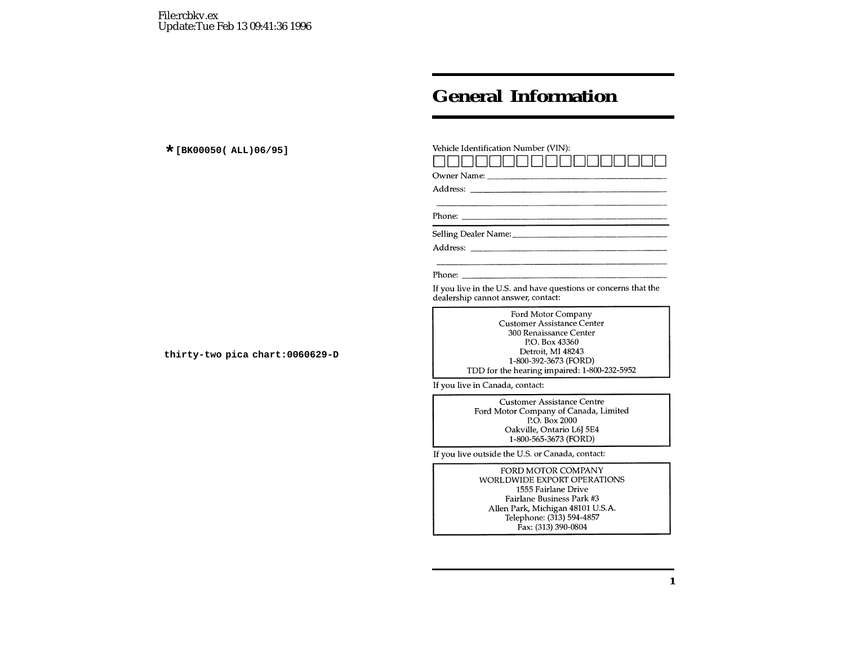## **General Information**

| Vehicle Identification Number (VIN):                                                                                                                                                              |
|---------------------------------------------------------------------------------------------------------------------------------------------------------------------------------------------------|
|                                                                                                                                                                                                   |
|                                                                                                                                                                                                   |
| Phone:                                                                                                                                                                                            |
|                                                                                                                                                                                                   |
|                                                                                                                                                                                                   |
| Phone:                                                                                                                                                                                            |
| If you live in the U.S. and have questions or concerns that the<br>dealership cannot answer, contact:                                                                                             |
| Ford Motor Company<br><b>Customer Assistance Center</b><br>300 Renaissance Center<br>P.O. Box 43360<br>Detroit, MI 48243<br>1-800-392-3673 (FORD)<br>TDD for the hearing impaired: 1-800-232-5952 |
| If you live in Canada, contact:                                                                                                                                                                   |
| <b>Customer Assistance Centre</b><br>Ford Motor Company of Canada, Limited<br>P.O. Box 2000<br>Oakville, Ontario L6J 5E4<br>1-800-565-3673 (FORD)                                                 |
| If you live outside the U.S. or Canada, contact:                                                                                                                                                  |
| FORD MOTOR COMPANY                                                                                                                                                                                |

WORLDWIDE EXPORT OPERATIONS 1555 Fairlane Drive Fairlane Business Park #3 Allen Park, Michigan 48101 U.S.A. Telephone: (313) 594-4857 Fax: (313) 390-0804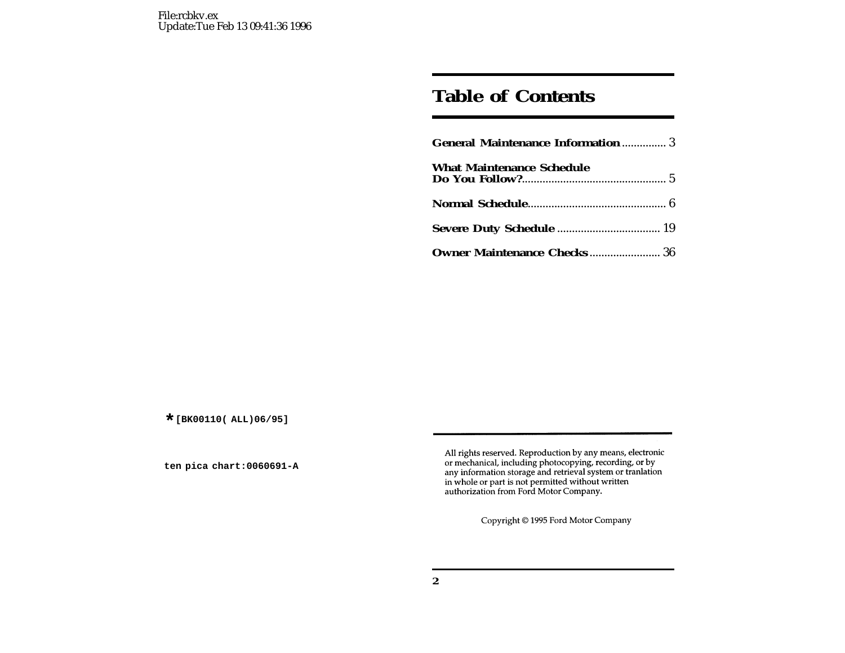## **Table of Contents**

| <b>General Maintenance Information  3</b> |
|-------------------------------------------|
| <b>What Maintenance Schedule</b>          |
|                                           |
|                                           |
| <b>Owner Maintenance Checks 36</b>        |

All rights reserved. Reproduction by any means, electronic or mechanical, including photocopying, recording, or by any information storage and retrieval system or tranlation in whole or part is not permitted without written authorization from Ford Motor Company.

Copyright © 1995 Ford Motor Company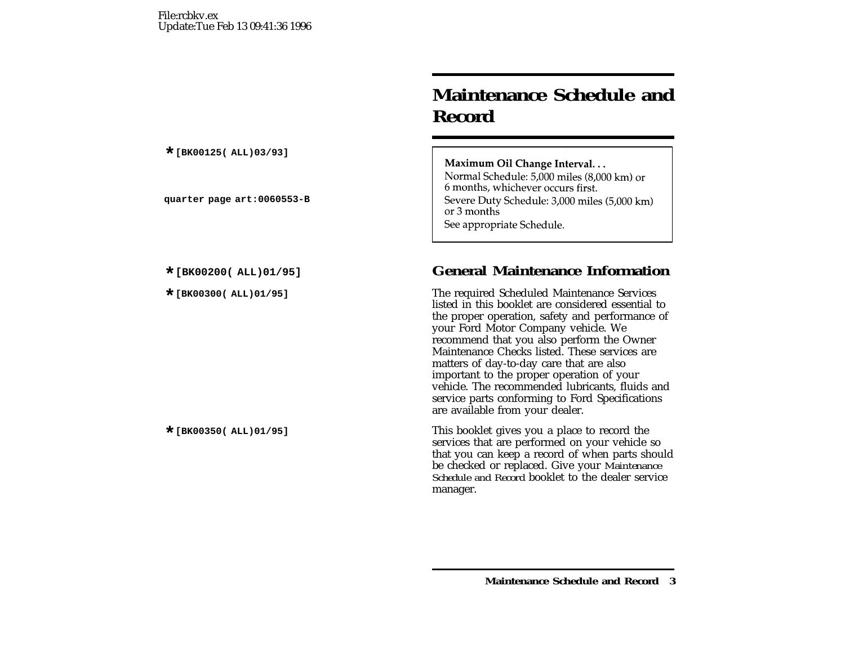# **Maintenance Schedule andRecord**

Maximum Oil Change Interval... Normal Schedule: 5,000 miles (8,000 km) or 6 months, whichever occurs first. Severe Duty Schedule: 3,000 miles (5,000 km) or 3 months See appropriate Schedule.

## **\*[BK00200( ALL)01/95] General Maintenance Information**

**The required Scheduled Maintenance Services** listed in this booklet are considered essential to the proper operation, safety and performance of your Ford Motor Company vehicle. We recommend that you also perform the Owner Maintenance Checks listed. These services arematters of day-to-day care that are also important to the proper operation of your vehicle. The recommended lubricants, fluids and service parts conforming to Ford Specifications are available from your dealer.

This booklet gives you a place to record the services that are performed on your vehicle so that you can keep <sup>a</sup> record of when parts should be checked or replaced. Give your *Maintenance Schedule and Record* booklet to the dealer service manager.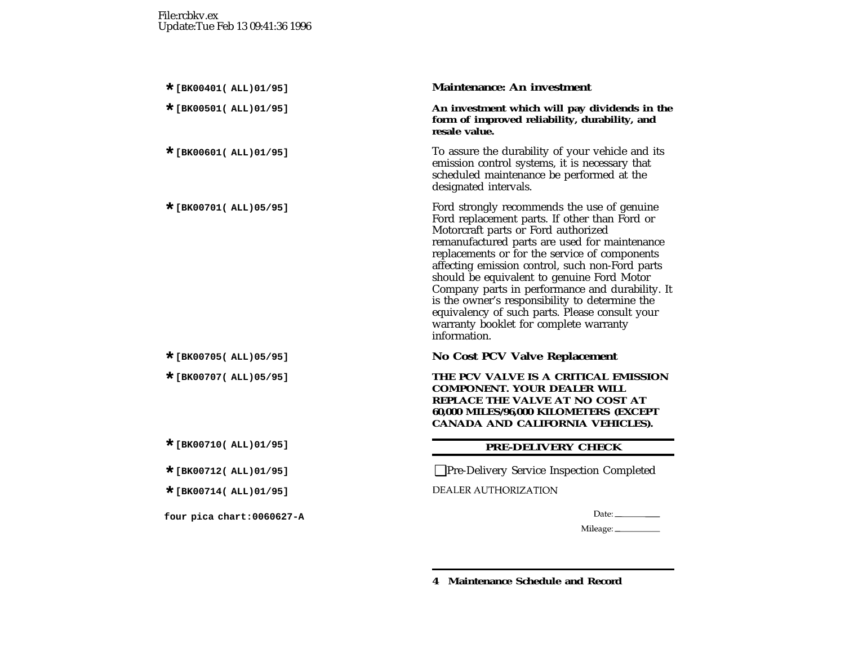#### **\*[BK00401( ALL)01/95] Maintenance: An investment**

**\*[BK00501( ALL)01/95] An investment which will pay dividends in the form of improved reliability, durability, and resale value.**

To assure the durability of your vehicle and its emission control systems, it is necessary that scheduled maintenance be performed at the designated intervals.

Ford strongly recommends the use of genuine Ford replacement parts. If other than Ford or Motorcraft parts or Ford authorized remanufactured parts are used for maintenance replacements or for the service of components affecting emission control, such non-Ford parts should be equivalent to genuine Ford Motor Company parts in performance and durability. It is the owner's responsibility to determine the equivalency of such parts. Please consult your warranty booklet for complete warranty information.

#### **\*[BK00705( ALL)05/95] No Cost PCV Valve Replacement**

**\*[BK00707( ALL)05/95] THE PCV VALVE IS A CRITICAL EMISSION COMPONENT. YOUR DEALER WILLREPLACE THE VALVE AT NO COST AT60,000 MILES/96,000 KILOMETERS (EXCEPT CANADA AND CALIFORNIA VEHICLES).**

## **\*[BK00710( ALL)01/95] PRE-DELIVERY CHECK**

**\*[BK00712( ALL)01/95]** ❑Pre-Delivery Service Inspection Completed

**DEALER AUTHORIZATION** 

Mileage: \_\_\_\_\_\_\_\_\_\_\_\_

**4 Maintenance Schedule and Record**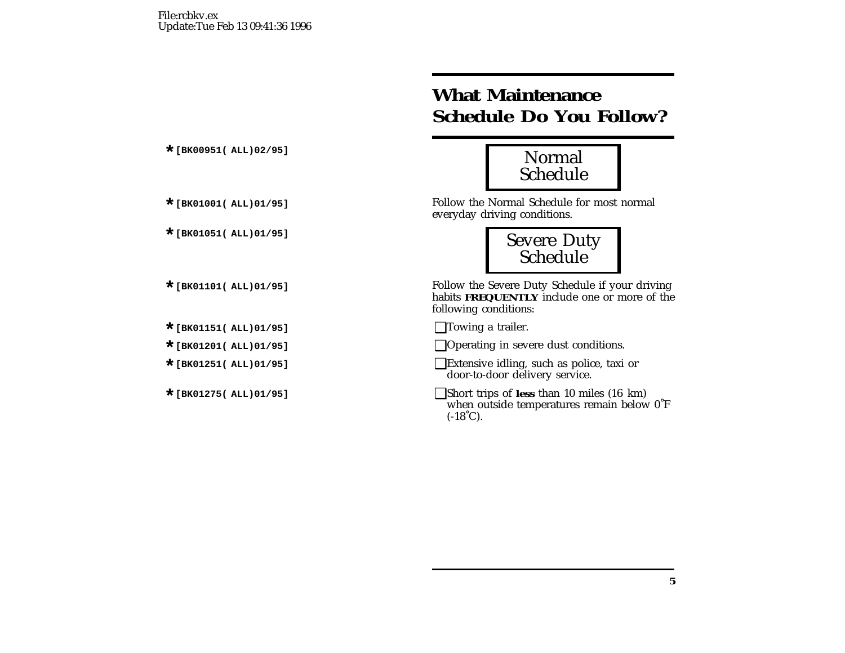# **What Maintenance Schedule Do You Follow?**



Follow the Normal Schedule for most normal everyday driving conditions.



Follow the Severe Duty Schedule if your driving habits **FREQUENTLY** include one or more of the following conditions:

**\*[BK01151( ALL)01/95]** ❑Towing <sup>a</sup> trailer.

**\*[BK01201( ALL)01/95]** ❑Operating in severe dust conditions.

**Extensive idling, such as police, taxi or** door-to-door delivery service.

**\*[BK01275( ALL)01/95]** ❑Short trips of **less** than 10 miles (16 km) when outside temperatures remain below 0˚F  $(-18^{\circ}C)$ .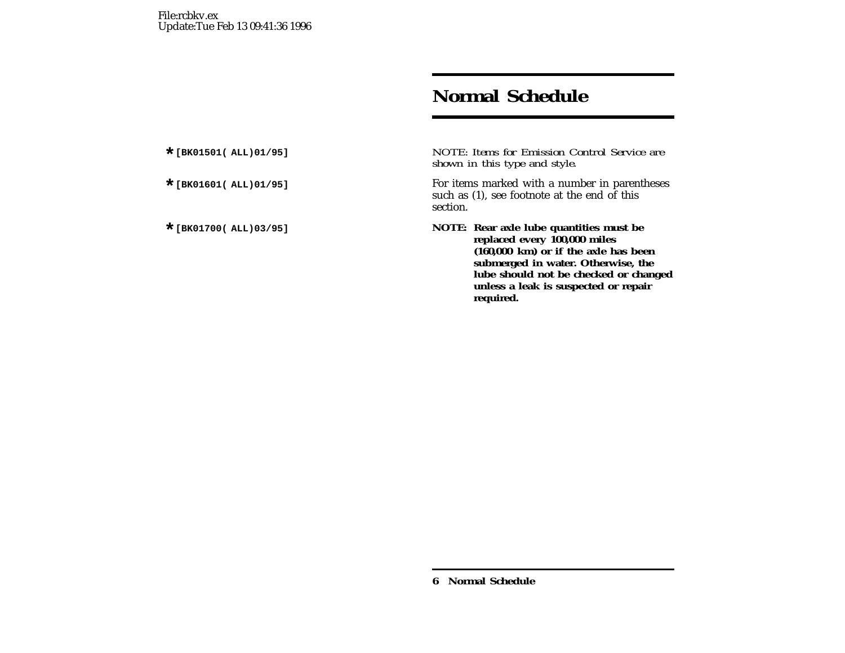## **Normal Schedule**

**\*[BK01501( ALL)01/95]** *NOTE: Items for Emission Control Service are shown in this type and style.*

For items marked with a number in parentheses such as (1), see footnote at the end of this section.

**\*[BK01700( ALL)03/95] NOTE: Rear axle lube quantities must be replaced every 100,000 miles (160,000 km) or if the axle has been submerged in water. Otherwise, the lube should not be checked or changed unless <sup>a</sup> leak is suspected or repair required.**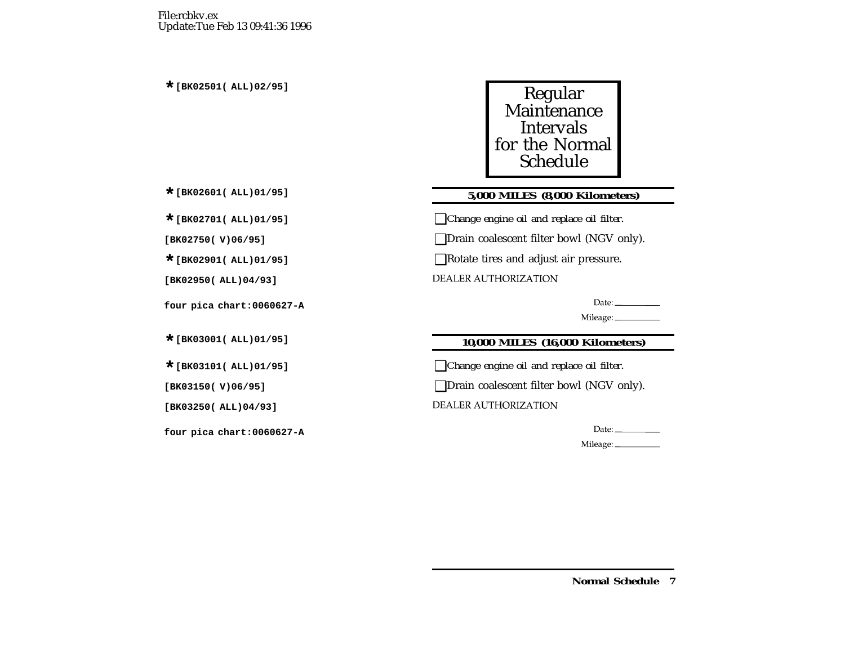

## **\*[BK02601( ALL)01/95] 5,000 MILES (8,000 Kilometers)**

**\*[BK02701( ALL)01/95]** ❑*Change engine oil and replace oil filter.*

**[BK02750( V)06/95]** ❑Drain coalescent filter bowl (NGV only).

■Rotate tires and adjust air pressure.

**DEALER AUTHORIZATION** 

Date:  $\qquad \qquad$ 

Mileage: \_\_\_\_\_\_\_\_\_\_\_

## **\*[BK03001( ALL)01/95] 10,000 MILES (16,000 Kilometers)**

**\*[BK03101( ALL)01/95]** ❑*Change engine oil and replace oil filter.*

**[BK03150( V)06/95]** ❑Drain coalescent filter bowl (NGV only).

**DEALER AUTHORIZATION** 

 ${\small \textsf{Date}}:\underline{\hspace{1.5cm}}% \begin{tabular}{l|lclclcl} \hline \multicolumn{3}{c|lclcl} \multicolumn{3}{c|lcl} \multicolumn{3}{c|lcl} \multicolumn{3}{c|lcl} \multicolumn{3}{c|lcl} \multicolumn{3}{c|lcl} \multicolumn{3}{c|lcl} \multicolumn{3}{c|lcl} \multicolumn{3}{c|lcl} \multicolumn{3}{c|lcl} \multicolumn{3}{c|lcl} \multicolumn{3}{c|lcl} \multicolumn{3}{c|lcl} \multicolumn{3}{c|lcl} \multicolumn{3}{c|lcl} \multic$ 

Mileage: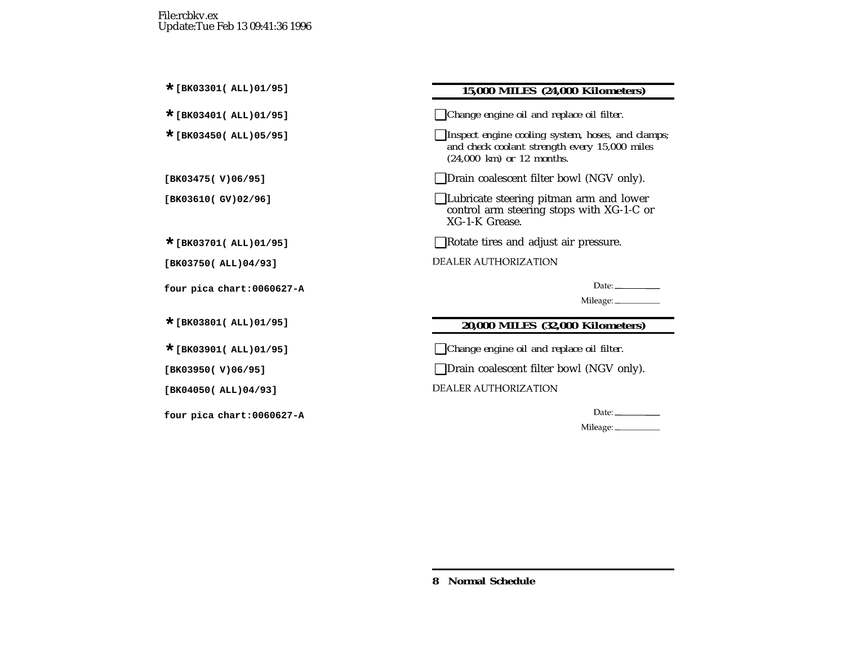## **\*[BK03301( ALL)01/95] 15,000 MILES (24,000 Kilometers)**

**\*[BK03401( ALL)01/95]** ❑*Change engine oil and replace oil filter.*

**\*[BK03450( ALL)05/95]** ❑*Inspect engine cooling system, hoses, and clamps; and check coolant strength every 15,000 miles (24,000 km) or 12 months.*

**[BK03475( V)06/95]** ❑Drain coalescent filter bowl (NGV only).

**[BK03610( GV)02/96]** ❑Lubricate steering pitman arm and lower control arm steering stops with XG-1-C or XG-1-K Grease.

**\*[BK03701( ALL)01/95]** ❑Rotate tires and adjust air pressure.

**DEALER AUTHORIZATION** 

Date:\_\_\_\_\_\_\_\_\_\_\_\_

Mileage: \_\_\_\_\_\_\_\_\_\_\_

## **\*[BK03801( ALL)01/95] 20,000 MILES (32,000 Kilometers)**

**\*[BK03901( ALL)01/95]** ❑*Change engine oil and replace oil filter.*

**[BK03950( V)06/95]** ❑Drain coalescent filter bowl (NGV only).

**DEALER AUTHORIZATION** 

Mileage: \_\_\_\_\_\_\_\_\_\_\_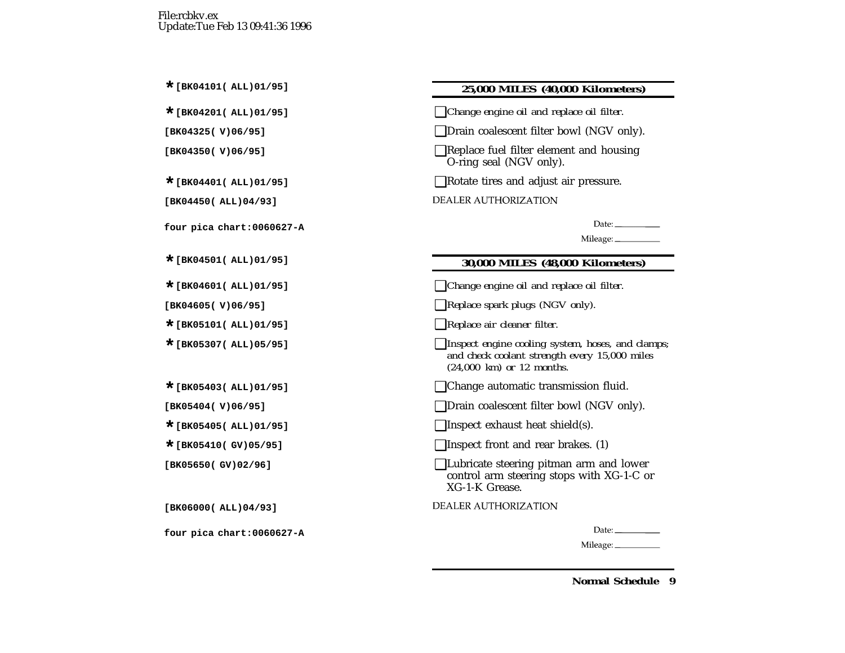### **\*[BK04101( ALL)01/95] 25,000 MILES (40,000 Kilometers)**

**\*[BK04201( ALL)01/95]** ❑*Change engine oil and replace oil filter.*

**[BK04325( V)06/95]** ❑Drain coalescent filter bowl (NGV only).

**[BK04350( V)06/95]** ❑Replace fuel filter element and housing O-ring seal (NGV only).

**■Rotate tires and adjust air pressure.** 

| DEALER AUTHORIZATION |  |
|----------------------|--|
|                      |  |

Date:  $\frac{1}{\sqrt{1-\frac{1}{2}}}\frac{1}{\sqrt{1-\frac{1}{2}}}\frac{1}{\sqrt{1-\frac{1}{2}}}\frac{1}{\sqrt{1-\frac{1}{2}}}\frac{1}{\sqrt{1-\frac{1}{2}}}\frac{1}{\sqrt{1-\frac{1}{2}}}\frac{1}{\sqrt{1-\frac{1}{2}}}\frac{1}{\sqrt{1-\frac{1}{2}}}\frac{1}{\sqrt{1-\frac{1}{2}}}\frac{1}{\sqrt{1-\frac{1}{2}}}\frac{1}{\sqrt{1-\frac{1}{2}}}\frac{1}{\sqrt{1-\frac{1}{2}}}\frac{1}{\sqrt{1-\frac{1}{2}}}\frac{1}{\$ 

Mileage: \_\_\_\_\_\_\_\_\_\_\_

## **\*[BK04501( ALL)01/95] 30,000 MILES (48,000 Kilometers)**

**\*[BK04601( ALL)01/95]** ❑*Change engine oil and replace oil filter.*

**[BK04605( V)06/95]** ❑*Replace spark plugs (NGV only).*

**\*[BK05101( ALL)01/95]** ❑*Replace air cleaner filter.*

**\*[BK05307( ALL)05/95]** ❑*Inspect engine cooling system, hoses, and clamps; and check coolant strength every 15,000 miles (24,000 km) or 12 months.*

**\*[BK05403( ALL)01/95]** ❑Change automatic transmission fluid.

**[BK05404( V)06/95]** ❑Drain coalescent filter bowl (NGV only).

**■**Inspect exhaust heat shield(s).

**\*[BK05410( GV)05/95]** ❑Inspect front and rear brakes. (1)

**[BK05650( GV)02/96]** ❑Lubricate steering pitman arm and lower control arm steering stops with XG-1-C or XG-1-K Grease.

**DEALER AUTHORIZATION** 

Date:  $\_\_$ 

Mileage: \_\_\_\_\_\_\_\_\_\_\_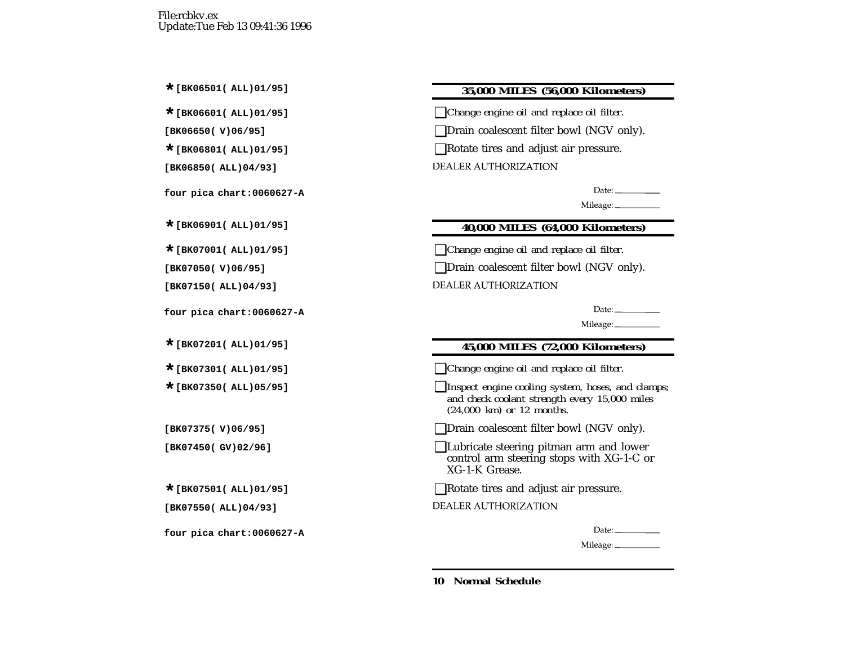### **\*[BK06501( ALL)01/95] 35,000 MILES (56,000 Kilometers)**

**\*[BK06601( ALL)01/95]** ❑*Change engine oil and replace oil filter.*

**[BK06650( V)06/95]** ❑Drain coalescent filter bowl (NGV only).

■Rotate tires and adjust air pressure.

**DEALER AUTHORIZATION** 

Date:  $\frac{1}{\sqrt{1-\frac{1}{2}}\sqrt{1-\frac{1}{2}}\sqrt{1-\frac{1}{2}}\sqrt{1-\frac{1}{2}}\sqrt{1-\frac{1}{2}}\sqrt{1-\frac{1}{2}}\sqrt{1-\frac{1}{2}}\sqrt{1-\frac{1}{2}}\sqrt{1-\frac{1}{2}}\sqrt{1-\frac{1}{2}}\sqrt{1-\frac{1}{2}}\sqrt{1-\frac{1}{2}}\sqrt{1-\frac{1}{2}}\sqrt{1-\frac{1}{2}}\sqrt{1-\frac{1}{2}}\sqrt{1-\frac{1}{2}}\sqrt{1-\frac{1}{2}}\sqrt{1-\frac{1}{2}}\sqrt{1-\frac{1}{2}}$ 

Mileage: \_\_\_\_\_\_\_\_\_\_\_

## **\*[BK06901( ALL)01/95] 40,000 MILES (64,000 Kilometers)**

**\*[BK07001( ALL)01/95]** ❑*Change engine oil and replace oil filter.*

**[BK07050( V)06/95]** ❑Drain coalescent filter bowl (NGV only).

**DEALER AUTHORIZATION** 

Date:  $\frac{1}{\sqrt{1-\frac{1}{2}}\cdot\frac{1}{2}}$ 

Mileage: \_\_\_\_\_\_\_\_\_\_\_

## **\*[BK07201( ALL)01/95] 45,000 MILES (72,000 Kilometers)**

**\*[BK07301( ALL)01/95]** ❑*Change engine oil and replace oil filter.*

**\*[BK07350( ALL)05/95]** ❑*Inspect engine cooling system, hoses, and clamps; and check coolant strength every 15,000 miles (24,000 km) or 12 months.*

**□Drain coalescent filter bowl (NGV only).** 

**[BK07450( GV)02/96]** ❑Lubricate steering pitman arm and lower control arm steering stops with XG-1-C or XG-1-K Grease.

**■Rotate tires and adjust air pressure.** 

**DEALER AUTHORIZATION** 

Date:  $\_\_$ 

Mileage: \_\_\_\_\_\_\_\_\_\_\_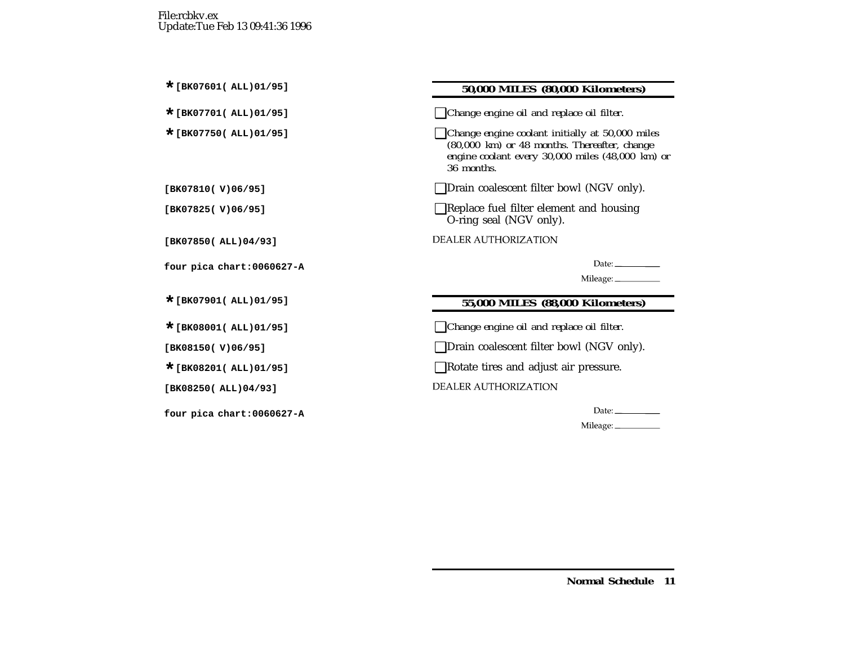## **\*[BK07601( ALL)01/95] 50,000 MILES (80,000 Kilometers)**

**\*[BK07701( ALL)01/95]** ❑*Change engine oil and replace oil filter.*

**\*[BK07750( ALL)01/95]** ❑*Change engine coolant initially at 50,000 miles (80,000 km) or 48 months. Thereafter, change engine coolant every 30,000 miles (48,000 km) or 36 months.*

**[BK07810( V)06/95]** ❑Drain coalescent filter bowl (NGV only).

**[BK07825( V)06/95]** ❑Replace fuel filter element and housing O-ring seal (NGV only).

**DEALER AUTHORIZATION** 

Date:  $\_\_$ 

Mileage: \_\_\_\_\_\_\_\_\_\_\_

## **\*[BK07901( ALL)01/95] 55,000 MILES (88,000 Kilometers)**

**\*[BK08001( ALL)01/95]** ❑*Change engine oil and replace oil filter.*

**□Drain coalescent filter bowl (NGV only).** 

■Rotate tires and adjust air pressure.

**DEALER AUTHORIZATION** 

Date:\_\_\_\_\_\_\_\_\_\_\_\_

Mileage: \_\_\_\_\_\_\_\_\_\_\_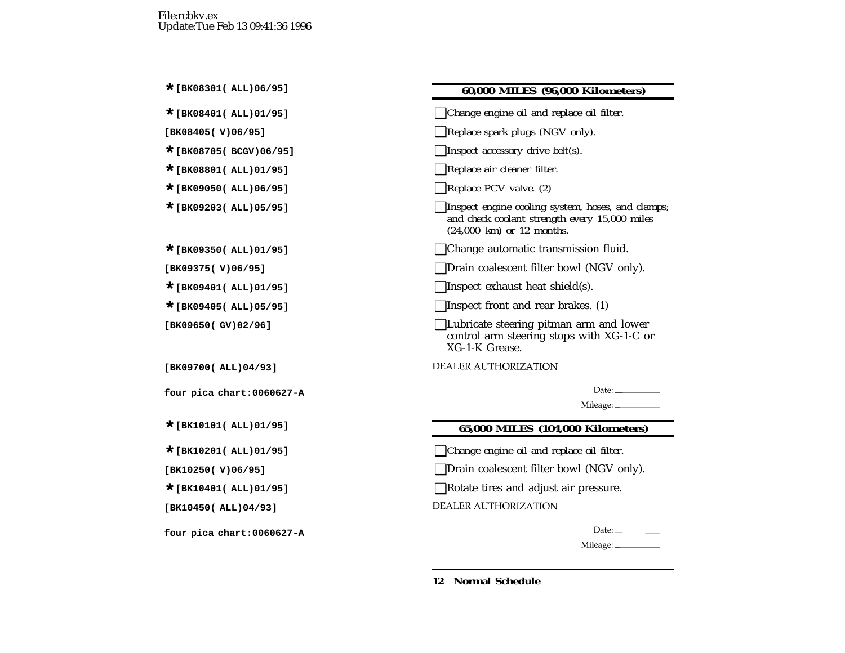#### **\*[BK08301( ALL)06/95] 60,000 MILES (96,000 Kilometers)**

**\*[BK08401( ALL)01/95]** ❑*Change engine oil and replace oil filter.*

**[BK08405( V)06/95]** ❑*Replace spark plugs (NGV only).*

**\*[BK08705( BCGV)06/95]** ❑*Inspect accessory drive belt(s).*

**\*[BK08801( ALL)01/95]** ❑*Replace air cleaner filter.*

**\*[BK09050( ALL)06/95]** ❑*Replace PCV valve. (2)*

**\*[BK09203( ALL)05/95]** ❑*Inspect engine cooling system, hoses, and clamps; and check coolant strength every 15,000 miles (24,000 km) or 12 months.*

**\*[BK09350( ALL)01/95]** ❑Change automatic transmission fluid.

**[BK09375( V)06/95]** ❑Drain coalescent filter bowl (NGV only).

**\*[BK09401( ALL)01/95]** ❑Inspect exhaust heat shield(s).

**■**Inspect front and rear brakes. (1)

**[BK09650( GV)02/96]** ❑Lubricate steering pitman arm and lower control arm steering stops with XG-1-C or XG-1-K Grease.

**DEALER AUTHORIZATION** 

Date:  $\_\_$ 

Mileage: \_\_\_\_\_\_\_\_\_\_\_

#### **\*[BK10101( ALL)01/95] 65,000 MILES (104,000 Kilometers)**

**\*[BK10201( ALL)01/95]** ❑*Change engine oil and replace oil filter.*

**□Drain coalescent filter bowl (NGV only).** 

**Example 12** Rotate tires and adjust air pressure.

**DEALER AUTHORIZATION** 

Date:  $\_\_$ 

Mileage: \_\_\_\_\_\_\_\_\_\_\_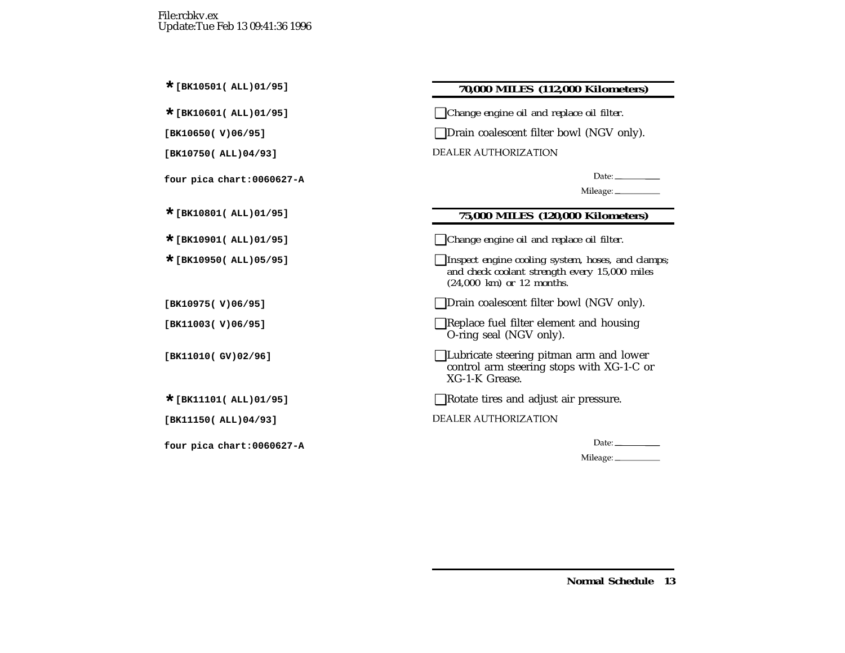## **\*[BK10501( ALL)01/95] 70,000 MILES (112,000 Kilometers)**

**\*[BK10601( ALL)01/95]** ❑*Change engine oil and replace oil filter.*

**[BK10650( V)06/95]** ❑Drain coalescent filter bowl (NGV only).

**DEALER AUTHORIZATION** 

Date:  $\_\_$ 

Mileage: \_\_\_\_\_\_\_\_\_\_

## **\*[BK10801( ALL)01/95] 75,000 MILES (120,000 Kilometers)**

- **\*[BK10901( ALL)01/95]** ❑*Change engine oil and replace oil filter.*
- **\*[BK10950( ALL)05/95]** ❑*Inspect engine cooling system, hoses, and clamps; and check coolant strength every 15,000 miles (24,000 km) or 12 months.*
- **[BK10975( V)06/95]** ❑Drain coalescent filter bowl (NGV only).
- **[BK11003( V)06/95]** ❑Replace fuel filter element and housing O-ring seal (NGV only).
- **[BK11010( GV)02/96]** ❑Lubricate steering pitman arm and lower control arm steering stops with XG-1-C or XG-1-K Grease.
- ■Rotate tires and adjust air pressure.
- **DEALER AUTHORIZATION**

| Llate: |  |
|--------|--|
|--------|--|

Mileage: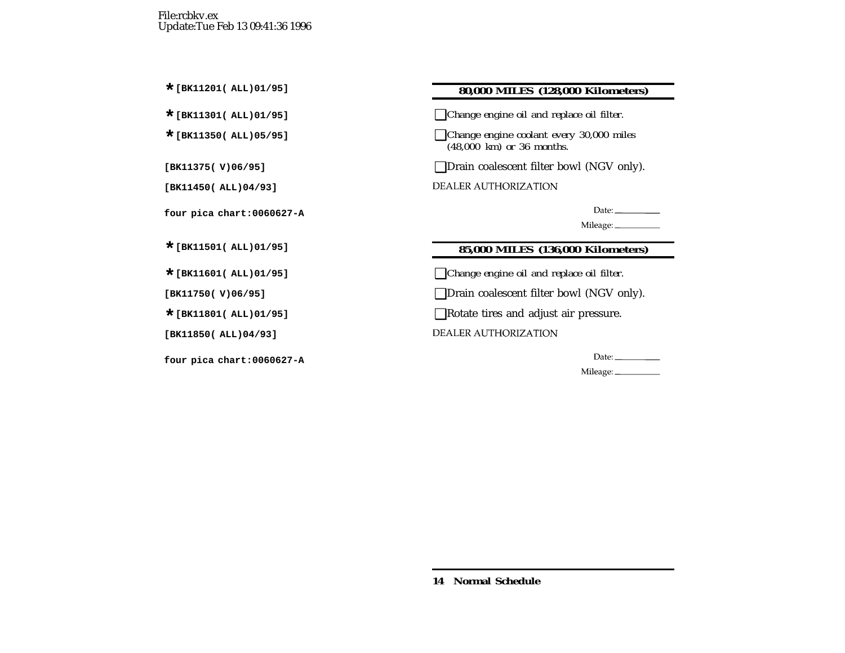## **\*[BK11201( ALL)01/95] 80,000 MILES (128,000 Kilometers)**

**\*[BK11301( ALL)01/95]** ❑*Change engine oil and replace oil filter.*

**\*[BK11350( ALL)05/95]** ❑*Change engine coolant every 30,000 miles (48,000 km) or 36 months.*

**[BK11375( V)06/95]** ❑Drain coalescent filter bowl (NGV only).

**DEALER AUTHORIZATION** 

Date:\_\_\_\_\_\_\_\_\_\_\_\_

Mileage:

## **\*[BK11501( ALL)01/95] 85,000 MILES (136,000 Kilometers)**

**\*[BK11601( ALL)01/95]** ❑*Change engine oil and replace oil filter.*

**[BK11750( V)06/95]** ❑Drain coalescent filter bowl (NGV only).

■Rotate tires and adjust air pressure.

**DEALER AUTHORIZATION** 

Date:  $\_\_$ 

Mileage: \_\_\_\_\_\_\_\_\_\_\_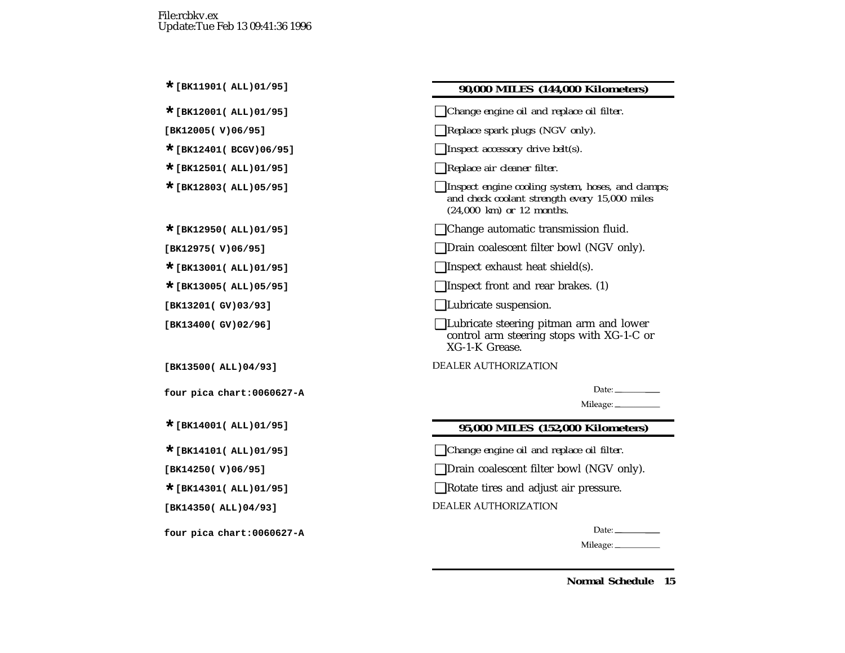#### **\*[BK11901( ALL)01/95] 90,000 MILES (144,000 Kilometers)**

**\*[BK12001( ALL)01/95]** ❑*Change engine oil and replace oil filter.*

**[BK12005( V)06/95]** ❑*Replace spark plugs (NGV only).*

- **\*[BK12401( BCGV)06/95]** ❑*Inspect accessory drive belt(s).*
- **\*[BK12501( ALL)01/95]** ❑*Replace air cleaner filter.*
- **\*[BK12803( ALL)05/95]** ❑*Inspect engine cooling system, hoses, and clamps; and check coolant strength every 15,000 miles (24,000 km) or 12 months.*
- Change automatic transmission fluid.

**[BK12975( V)06/95]** ❑Drain coalescent filter bowl (NGV only).

**\*[BK13001( ALL)01/95]** ❑Inspect exhaust heat shield(s).

**■**Inspect front and rear brakes. (1)

**[BK13201( GV)03/93]** ❑Lubricate suspension.

**[BK13400( GV)02/96]** ❑Lubricate steering pitman arm and lower control arm steering stops with XG-1-C or XG-1-K Grease.

**DEALER AUTHORIZATION** 

Date:  $\_\_$ 

Mileage: \_\_\_\_\_\_\_\_\_\_\_

#### **\*[BK14001( ALL)01/95] 95,000 MILES (152,000 Kilometers)**

**\*[BK14101( ALL)01/95]** ❑*Change engine oil and replace oil filter.*

**□Drain coalescent filter bowl (NGV only).** 

**Example 12** Rotate tires and adjust air pressure.

**DEALER AUTHORIZATION** 

Date:  $\_\_$ 

Mileage: \_\_\_\_\_\_\_\_\_\_\_\_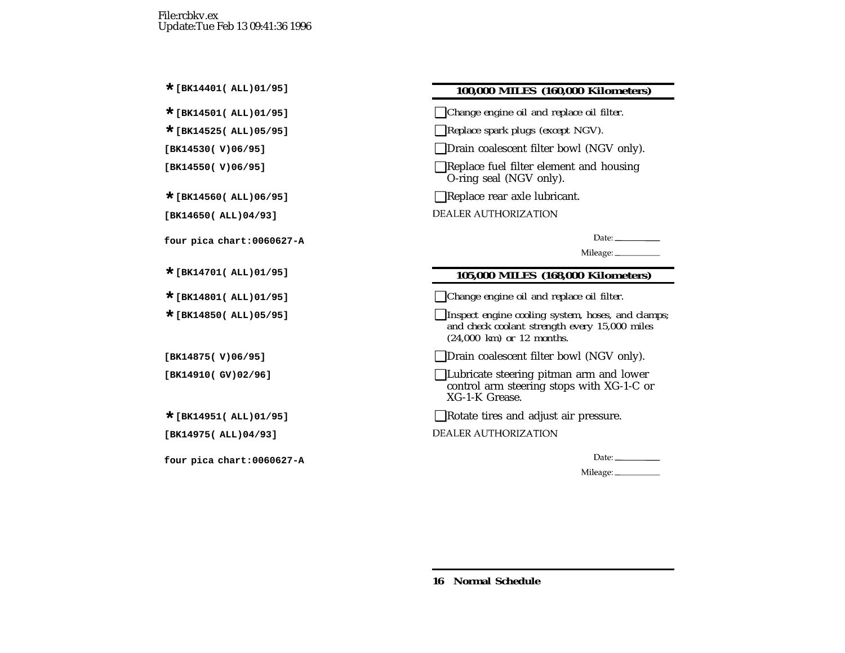## **\*[BK14401( ALL)01/95] 100,000 MILES (160,000 Kilometers)**

**\*[BK14501( ALL)01/95]** ❑*Change engine oil and replace oil filter.*

**\*[BK14525( ALL)05/95]** ❑*Replace spark plugs (except NGV).*

**[BK14530( V)06/95]** ❑Drain coalescent filter bowl (NGV only).

**[BK14550( V)06/95]** ❑Replace fuel filter element and housing O-ring seal (NGV only).

**Exercise EXEC EXEC EXEC** rear axle lubricant.

**DEALER AUTHORIZATION** 

Date:  $\_\_$ 

Mileage: \_\_\_\_\_\_\_\_\_\_\_

## **\*[BK14701( ALL)01/95] 105,000 MILES (168,000 Kilometers)**

**\*[BK14801( ALL)01/95]** ❑*Change engine oil and replace oil filter.*

**\*[BK14850( ALL)05/95]** ❑*Inspect engine cooling system, hoses, and clamps; and check coolant strength every 15,000 miles (24,000 km) or 12 months.*

**[BK14875( V)06/95]** ❑Drain coalescent filter bowl (NGV only).

| $\Box$ Lubricate steering pitman arm and lower |
|------------------------------------------------|
| control arm steering stops with XG-1-C or      |
| XG-1-K Grease.                                 |

■Rotate tires and adjust air pressure.

**DEALER AUTHORIZATION** 

Date:  $\_\_$ 

Mileage: \_\_\_\_\_\_\_\_\_\_\_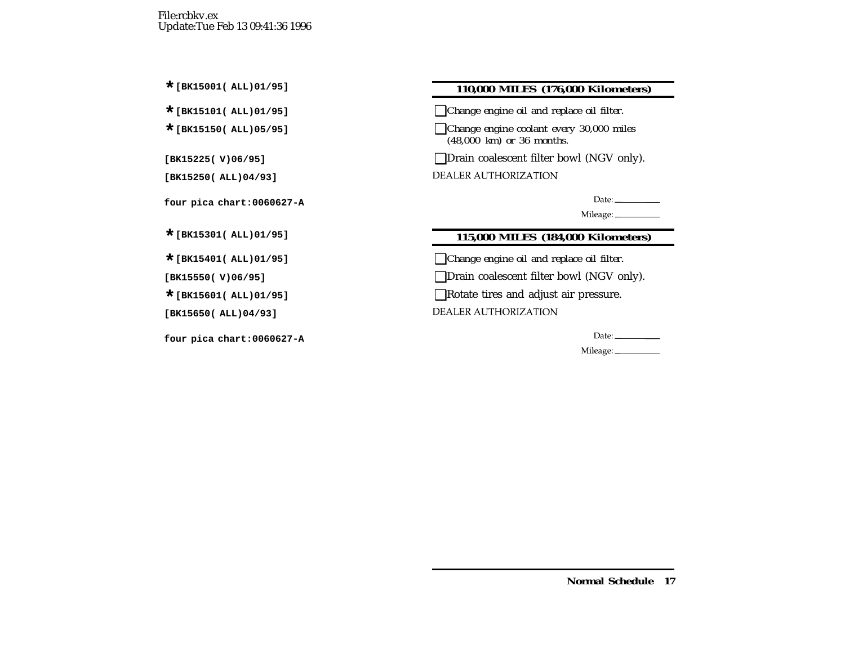## **\*[BK15001( ALL)01/95] 110,000 MILES (176,000 Kilometers)**

**\*[BK15101( ALL)01/95]** ❑*Change engine oil and replace oil filter.*

**\*[BK15150( ALL)05/95]** ❑*Change engine coolant every 30,000 miles (48,000 km) or 36 months.*

**[BK15225( V)06/95]** ❑Drain coalescent filter bowl (NGV only).

**DEALER AUTHORIZATION** 

Date:

Mileage:

## **\*[BK15301( ALL)01/95] 115,000 MILES (184,000 Kilometers)**

**\*[BK15401( ALL)01/95]** ❑*Change engine oil and replace oil filter.*

**[BK15550( V)06/95]** ❑Drain coalescent filter bowl (NGV only).

**\*[BK15601( ALL)01/95]** ❑Rotate tires and adjust air pressure.

**DEALER AUTHORIZATION** 

Mileage: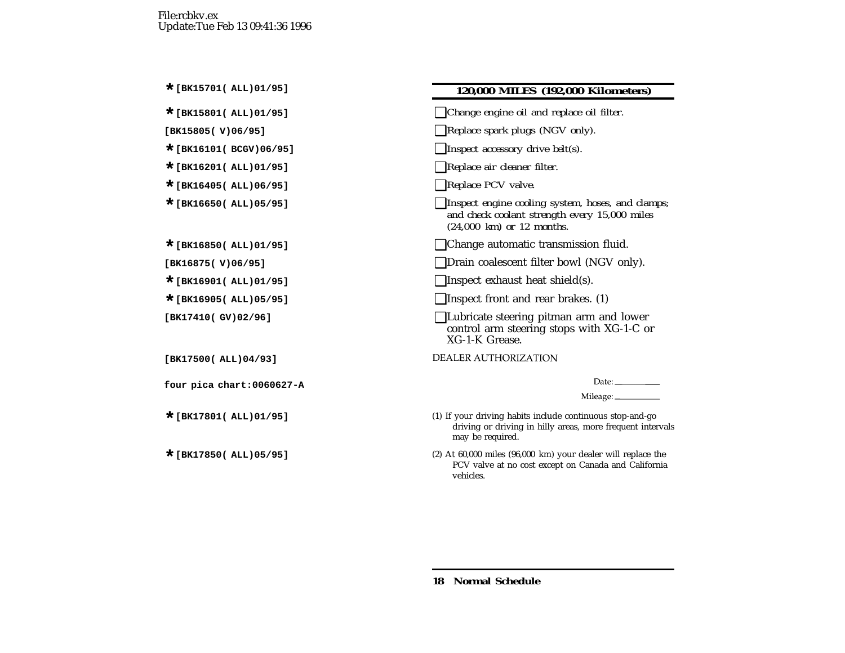### **\*[BK15701( ALL)01/95] 120,000 MILES (192,000 Kilometers)**

- **\*[BK15801( ALL)01/95]** ❑*Change engine oil and replace oil filter.*
- **[BK15805( V)06/95]** ❑*Replace spark plugs (NGV only).*
- **\*[BK16101( BCGV)06/95]** ❑*Inspect accessory drive belt(s).*
- **\*[BK16201( ALL)01/95]** ❑*Replace air cleaner filter.*
- **\*[BK16405( ALL)06/95]** ❑*Replace PCV valve.*
- **\*[BK16650( ALL)05/95]** ❑*Inspect engine cooling system, hoses, and clamps; and check coolant strength every 15,000 miles (24,000 km) or 12 months.*
- **\*[BK16850( ALL)01/95]** ❑Change automatic transmission fluid.
- **[BK16875( V)06/95]** ❑Drain coalescent filter bowl (NGV only).
- **□Inspect exhaust heat shield(s).**
- **\*[BK16905( ALL)05/95]** ❑Inspect front and rear brakes. (1)
- **[BK17410( GV)02/96]** ❑Lubricate steering pitman arm and lower control arm steering stops with XG-1-C or XG-1-K Grease.

**DEALER AUTHORIZATION** 

Date:  $\frac{1}{\sqrt{1-\frac{1}{2}}\sqrt{1-\frac{1}{2}}\sqrt{1-\frac{1}{2}}\sqrt{1-\frac{1}{2}}}}$ 

Mileage: \_\_\_\_\_\_\_\_\_\_\_\_

- (1) If your driving habits include continuous stop-and-go driving or driving in hilly areas, more frequent intervals may be required.
- (2) At 60,000 miles (96,000 km) your dealer will replace the PCV valve at no cost excep<sup>t</sup> on Canada and California vehicles.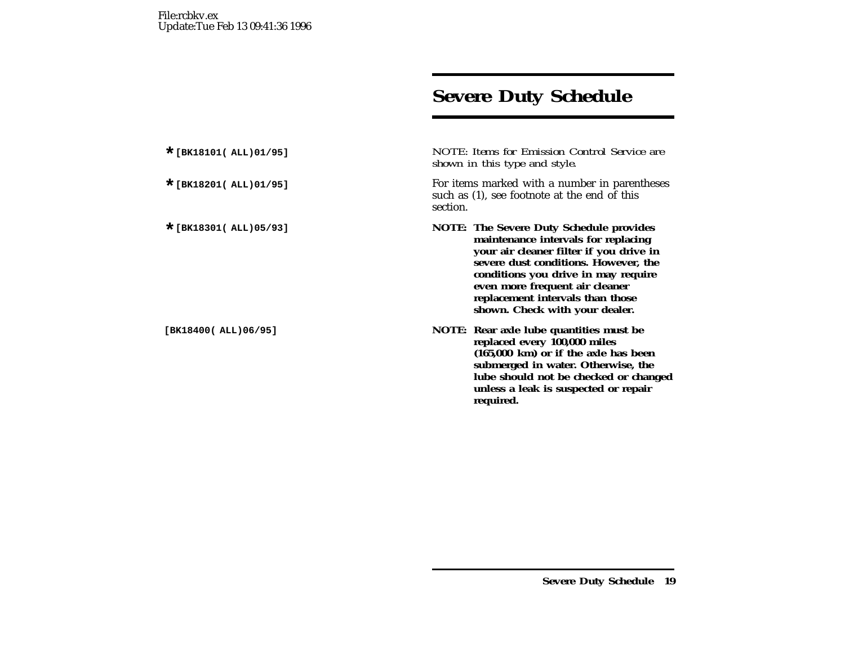# **Severe Duty Schedule**

**\*[BK18101( ALL)01/95]** *NOTE: Items for Emission Control Service are shown in this type and style.*

For items marked with a number in parentheses such as (1), see footnote at the end of this section.

- **\*[BK18301( ALL)05/93] NOTE: The Severe Duty Schedule provides maintenance intervals for replacing your air cleaner filter if you drive in severe dust conditions. However, the conditions you drive in may require even more frequent air cleaner replacement intervals than those shown. Check with your dealer.**
- **[BK18400( ALL)06/95] NOTE: Rear axle lube quantities must be replaced every 100,000 miles (165,000 km) or if the axle has been submerged in water. Otherwise, the lube should not be checked or changed unless <sup>a</sup> leak is suspected or repair required.**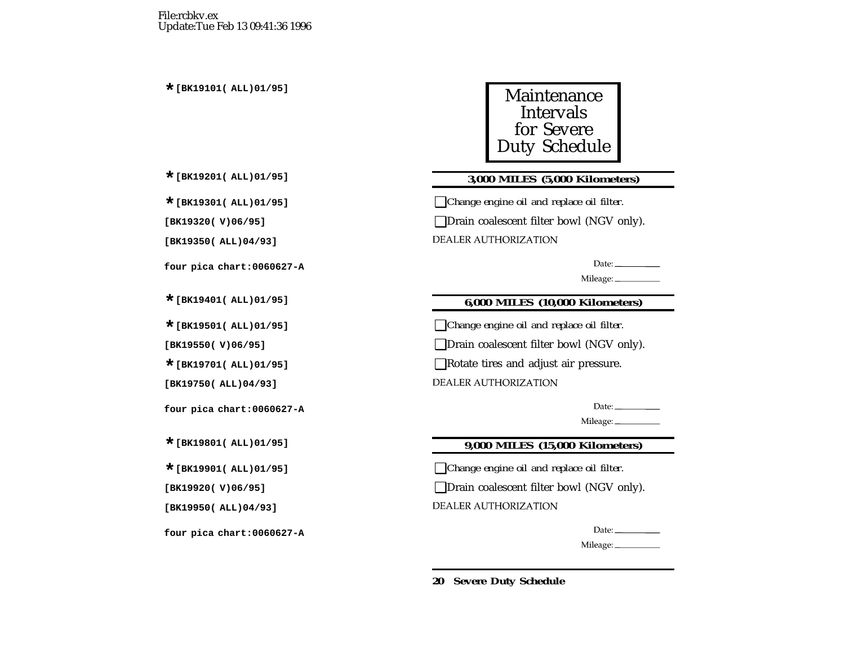

## **\*[BK19201( ALL)01/95] 3,000 MILES (5,000 Kilometers)**

**\*[BK19301( ALL)01/95]** ❑*Change engine oil and replace oil filter.*

**[BK19320( V)06/95]** ❑Drain coalescent filter bowl (NGV only).

**DEALER AUTHORIZATION** 

Date:  $\_\_$ 

Mileage:

## **\*[BK19401( ALL)01/95] 6,000 MILES (10,000 Kilometers)**

**\*[BK19501( ALL)01/95]** ❑*Change engine oil and replace oil filter.*

**[BK19550( V)06/95]** ❑Drain coalescent filter bowl (NGV only).

**\*[BK19701( ALL)01/95]** ❑Rotate tires and adjust air pressure.

**DEALER AUTHORIZATION** 

Date:  $\frac{1}{2}$ 

Mileage: \_\_\_\_\_\_\_\_\_

## **\*[BK19801( ALL)01/95] 9,000 MILES (15,000 Kilometers)**

**\*[BK19901( ALL)01/95]** ❑*Change engine oil and replace oil filter.*

**[BK19920( V)06/95]** ❑Drain coalescent filter bowl (NGV only).

**DEALER AUTHORIZATION** 

Date:  $\_\_$ 

Mileage: \_\_\_\_\_\_\_\_\_\_\_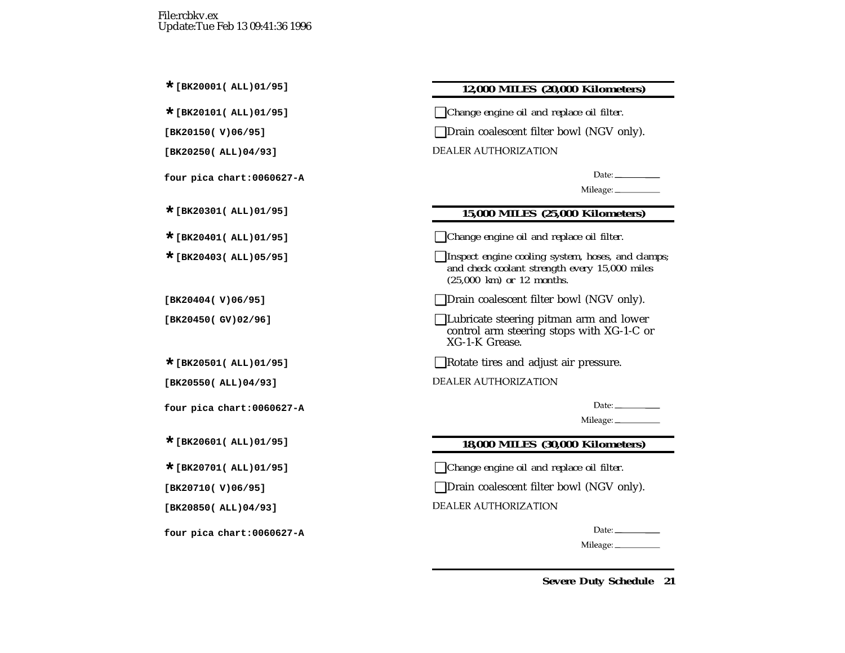#### **\*[BK20001( ALL)01/95] 12,000 MILES (20,000 Kilometers)**

**\*[BK20101( ALL)01/95]** ❑*Change engine oil and replace oil filter.*

**□Drain coalescent filter bowl (NGV only).** 

**DEALER AUTHORIZATION** 

Date:  $\_\_$ 

## **\*[BK20301( ALL)01/95] 15,000 MILES (25,000 Kilometers)**

**\*[BK20401( ALL)01/95]** ❑*Change engine oil and replace oil filter.*

**\*[BK20403( ALL)05/95]** ❑*Inspect engine cooling system, hoses, and clamps; and check coolant strength every 15,000 miles (25,000 km) or 12 months.*

**□Drain coalescent filter bowl (NGV only).** 

**[BK20450( GV)02/96]** ❑Lubricate steering pitman arm and lower control arm steering stops with XG-1-C or XG-1-K Grease.

■Rotate tires and adjust air pressure.

DEALER AUTHORIZATION

Date:  $\frac{1}{\sqrt{1-\frac{1}{2}}\cdot\frac{1}{2}}$ 

Mileage: \_\_\_\_\_\_\_\_\_\_\_

## **\*[BK20601( ALL)01/95] 18,000 MILES (30,000 Kilometers)**

**\*[BK20701( ALL)01/95]** ❑*Change engine oil and replace oil filter.*

**□Drain coalescent filter bowl (NGV only).** 

**DEALER AUTHORIZATION** 

Date:  $\_\_$ 

Mileage: \_\_\_\_\_\_\_\_\_\_\_\_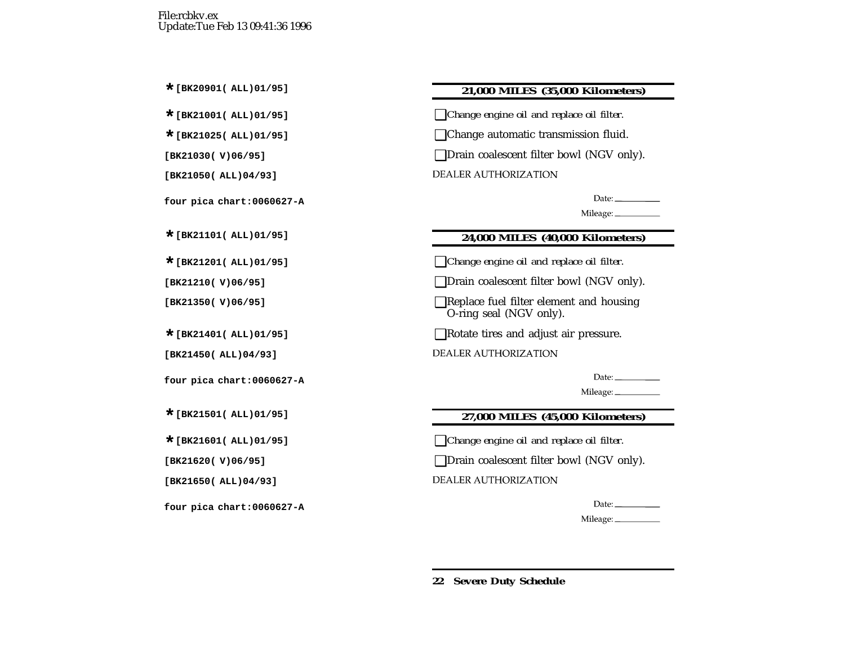## **\*[BK20901( ALL)01/95] 21,000 MILES (35,000 Kilometers)**

**\*[BK21001( ALL)01/95]** ❑*Change engine oil and replace oil filter.*

**\*[BK21025( ALL)01/95]** ❑Change automatic transmission fluid.

**[BK21030( V)06/95]** ❑Drain coalescent filter bowl (NGV only).

**DEALER AUTHORIZATION** 

Date:  $\qquad \qquad$ 

Mileage: \_\_\_\_\_\_\_\_\_\_

## **\*[BK21101( ALL)01/95] 24,000 MILES (40,000 Kilometers)**

**\*[BK21201( ALL)01/95]** ❑*Change engine oil and replace oil filter.*

**[BK21210( V)06/95]** ❑Drain coalescent filter bowl (NGV only).

**[BK21350( V)06/95]** ❑Replace fuel filter element and housing O-ring seal (NGV only).

**\*[BK21401( ALL)01/95]** ❑Rotate tires and adjust air pressure.

**DEALER AUTHORIZATION** 

Mileage:

## **\*[BK21501( ALL)01/95] 27,000 MILES (45,000 Kilometers)**

**\*[BK21601( ALL)01/95]** ❑*Change engine oil and replace oil filter.*

**□Drain coalescent filter bowl (NGV only).** 

DEALER AUTHORIZATION

Date: Mileage: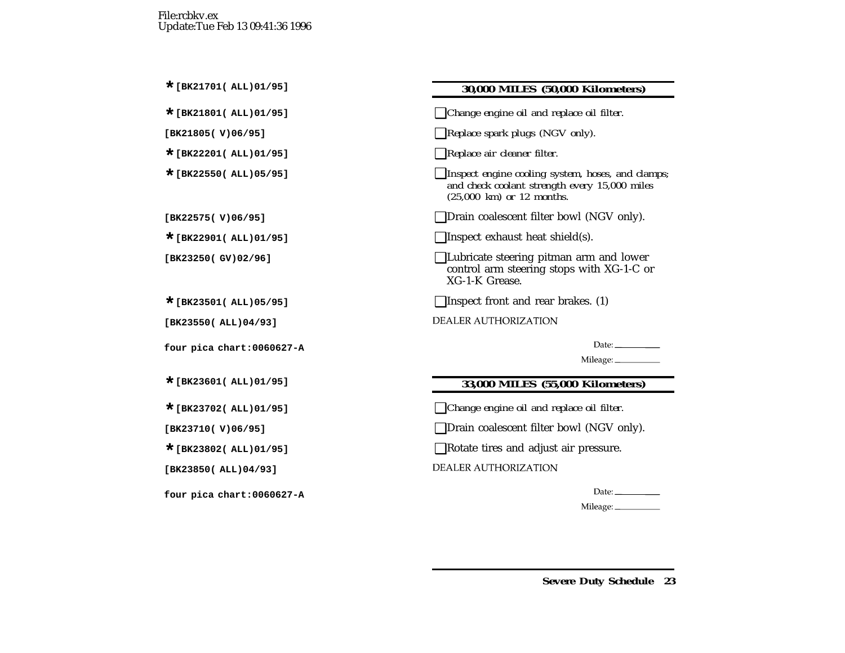**\*[BK21801( ALL)01/95]** ❑*Change engine oil and replace oil filter.*

**[BK21805( V)06/95]** ❑*Replace spark plugs (NGV only).*

- **\*[BK22201( ALL)01/95]** ❑*Replace air cleaner filter.*
- **\*[BK22550( ALL)05/95]** ❑*Inspect engine cooling system, hoses, and clamps; and check coolant strength every 15,000 miles (25,000 km) or 12 months.*

**[BK22575( V)06/95]** ❑Drain coalescent filter bowl (NGV only).

**\*[BK22901( ALL)01/95]** ❑Inspect exhaust heat shield(s).

**[BK23250( GV)02/96]** ❑Lubricate steering pitman arm and lower control arm steering stops with XG-1-C or XG-1-K Grease.

**■**Inspect front and rear brakes. (1)

**DEALER AUTHORIZATION** 

Date:  $\_\_$ 

Mileage: \_\_\_\_\_\_\_\_\_\_\_\_

## **\*[BK23601( ALL)01/95] 33,000 MILES (55,000 Kilometers)**

**\*[BK23702( ALL)01/95]** ❑*Change engine oil and replace oil filter.*

**□Drain coalescent filter bowl (NGV only).** 

**■Rotate tires and adjust air pressure.** 

**DEALER AUTHORIZATION** 

Date:  $\qquad \qquad$ 

Mileage: \_\_\_\_\_\_\_\_\_\_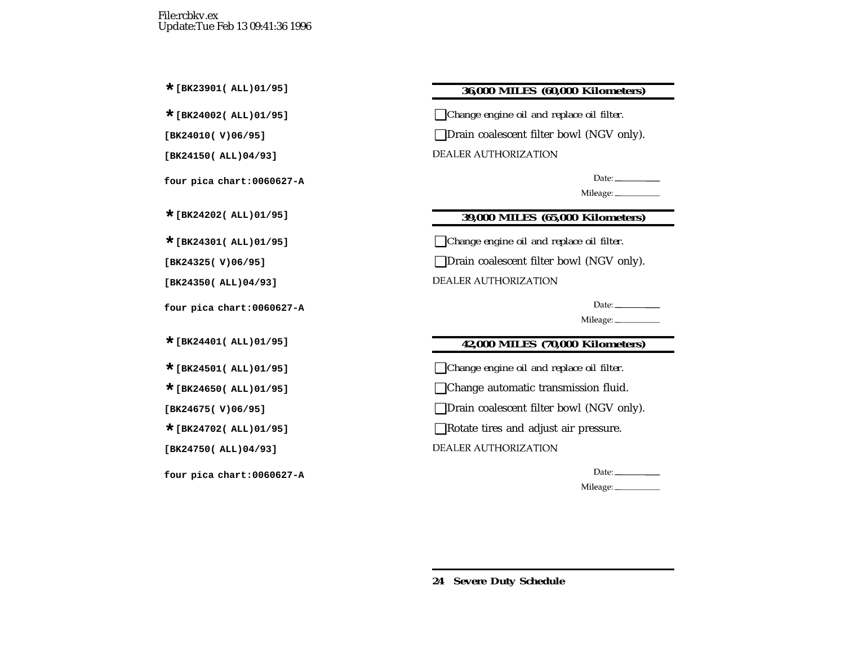## **\*[BK23901( ALL)01/95] 36,000 MILES (60,000 Kilometers)**

**\*[BK24002( ALL)01/95]** ❑*Change engine oil and replace oil filter.*

**[BK24010( V)06/95]** ❑Drain coalescent filter bowl (NGV only).

**DEALER AUTHORIZATION** 

Date:\_\_\_\_\_\_\_\_\_\_\_\_ Mileage: \_\_\_\_\_\_\_\_\_\_

## **\*[BK24202( ALL)01/95] 39,000 MILES (65,000 Kilometers)**

**\*[BK24301( ALL)01/95]** ❑*Change engine oil and replace oil filter.*

**[BK24325( V)06/95]** ❑Drain coalescent filter bowl (NGV only).

**DEALER AUTHORIZATION** 

Date:  $\_\_$ 

Mileage: \_\_\_\_\_\_\_\_\_\_\_

## **\*[BK24401( ALL)01/95] 42,000 MILES (70,000 Kilometers)**

**\*[BK24501( ALL)01/95]** ❑*Change engine oil and replace oil filter.*

■ Change automatic transmission fluid.

**[BK24675( V)06/95]** ❑Drain coalescent filter bowl (NGV only).

**■Rotate tires and adjust air pressure.** 

**DEALER AUTHORIZATION** 

Date:  $\_\_$ 

Mileage: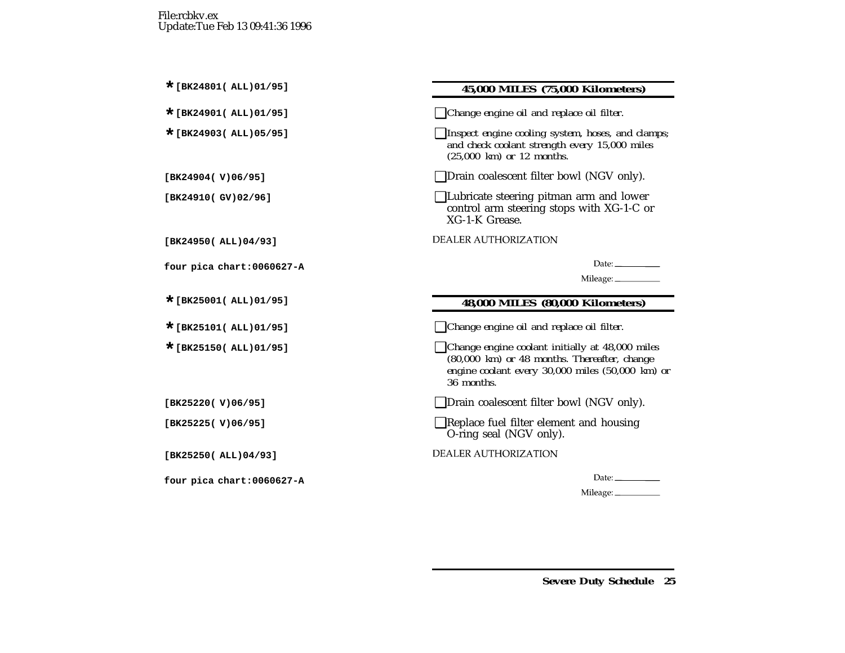#### **\*[BK24801( ALL)01/95] 45,000 MILES (75,000 Kilometers)**

**\*[BK24901( ALL)01/95]** ❑*Change engine oil and replace oil filter.*

**\*[BK24903( ALL)05/95]** ❑*Inspect engine cooling system, hoses, and clamps; and check coolant strength every 15,000 miles (25,000 km) or 12 months.*

**[BK24904( V)06/95]** ❑Drain coalescent filter bowl (NGV only).

**□Lubricate steering pitman arm and lower** control arm steering stops with XG-1-C or XG-1-K Grease.

**DEALER AUTHORIZATION** 

Mileage: \_\_\_\_\_\_\_\_\_\_\_

## **\*[BK25001( ALL)01/95] 48,000 MILES (80,000 Kilometers)**

**\*[BK25101( ALL)01/95]** ❑*Change engine oil and replace oil filter.*

- **\*[BK25150( ALL)01/95]** ❑*Change engine coolant initially at 48,000 miles (80,000 km) or 48 months. Thereafter, change engine coolant every 30,000 miles (50,000 km) or 36 months.*
- **[BK25220( V)06/95]** ❑Drain coalescent filter bowl (NGV only).
- **[BK25225( V)06/95]** ❑Replace fuel filter element and housing O-ring seal (NGV only).

DEALER AUTHORIZATION

Date:  $\qquad \qquad$ 

Mileage: \_\_\_\_\_\_\_\_\_\_\_\_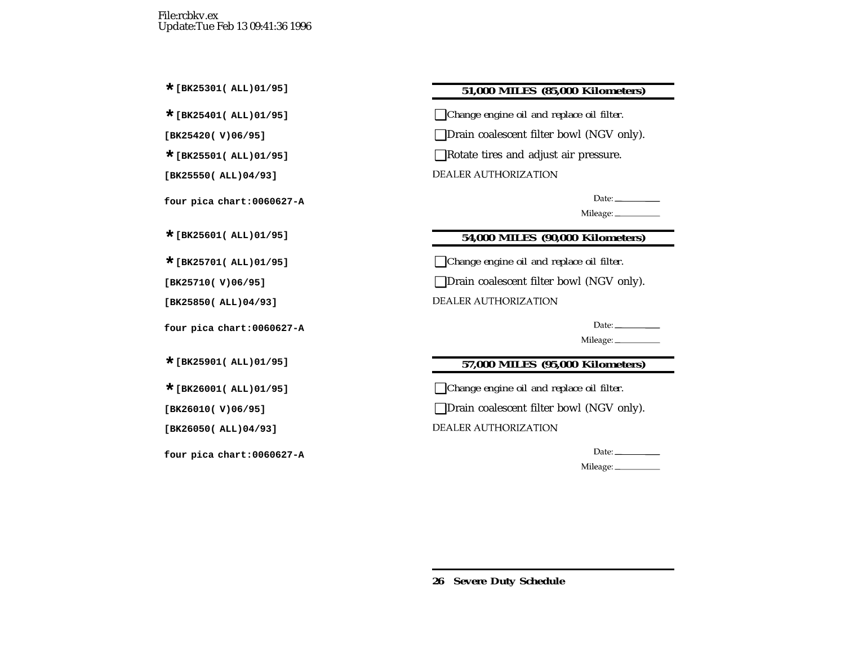## **\*[BK25301( ALL)01/95] 51,000 MILES (85,000 Kilometers)**

**\*[BK25401( ALL)01/95]** ❑*Change engine oil and replace oil filter.*

**[BK25420( V)06/95]** ❑Drain coalescent filter bowl (NGV only).

**\*[BK25501( ALL)01/95]** ❑Rotate tires and adjust air pressure.

**DEALER AUTHORIZATION** 

Date:  $\frac{1}{\sqrt{1-\frac{1}{2}}\sqrt{1-\frac{1}{2}}\sqrt{1-\frac{1}{2}}\sqrt{1-\frac{1}{2}}\sqrt{1-\frac{1}{2}}\sqrt{1-\frac{1}{2}}\sqrt{1-\frac{1}{2}}\sqrt{1-\frac{1}{2}}\sqrt{1-\frac{1}{2}}\sqrt{1-\frac{1}{2}}\sqrt{1-\frac{1}{2}}\sqrt{1-\frac{1}{2}}\sqrt{1-\frac{1}{2}}\sqrt{1-\frac{1}{2}}\sqrt{1-\frac{1}{2}}\sqrt{1-\frac{1}{2}}\sqrt{1-\frac{1}{2}}\sqrt{1-\frac{1}{2}}\sqrt{1-\frac{1}{2}}$ 

Mileage:

## **\*[BK25601( ALL)01/95] 54,000 MILES (90,000 Kilometers)**

**\*[BK25701( ALL)01/95]** ❑*Change engine oil and replace oil filter.*

**[BK25710( V)06/95]** ❑Drain coalescent filter bowl (NGV only).

DEALER AUTHORIZATION

Date:  $\_\_$ 

Mileage: \_\_\_\_\_\_\_\_\_\_

## **\*[BK25901( ALL)01/95] 57,000 MILES (95,000 Kilometers)**

**\*[BK26001( ALL)01/95]** ❑*Change engine oil and replace oil filter.*

**[BK26010( V)06/95]** ❑Drain coalescent filter bowl (NGV only).

**DEALER AUTHORIZATION** 

Date:  $\_\_$ 

Mileage: \_\_\_\_\_\_\_\_\_\_\_\_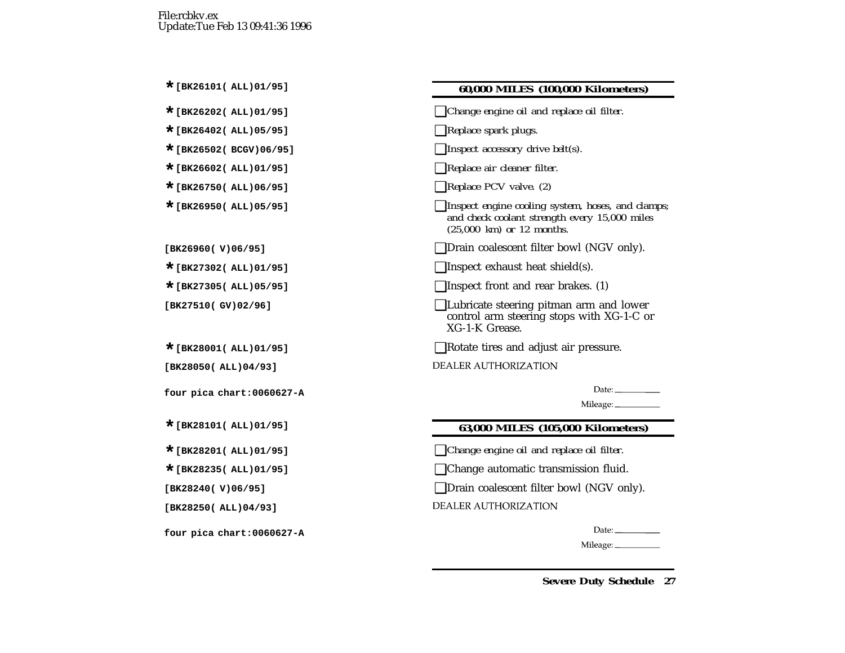#### **\*[BK26101( ALL)01/95] 60,000 MILES (100,000 Kilometers)**

- **\*[BK26202( ALL)01/95]** ❑*Change engine oil and replace oil filter.*
- **\*[BK26402( ALL)05/95]** ❑*Replace spark plugs.*
- **\*[BK26502( BCGV)06/95]** ❑*Inspect accessory drive belt(s).*
- **\*[BK26602( ALL)01/95]** ❑*Replace air cleaner filter.*
- **\*[BK26750( ALL)06/95]** ❑*Replace PCV valve. (2)*
- **\*[BK26950( ALL)05/95]** ❑*Inspect engine cooling system, hoses, and clamps; and check coolant strength every 15,000 miles (25,000 km) or 12 months.*
- **[BK26960( V)06/95]** ❑Drain coalescent filter bowl (NGV only).
- **\*[BK27302( ALL)01/95]** ❑Inspect exhaust heat shield(s).
- **■**Inspect front and rear brakes. (1)
- **[BK27510( GV)02/96]** ❑Lubricate steering pitman arm and lower control arm steering stops with XG-1-C or XG-1-K Grease.
- **■Rotate tires and adjust air pressure.**
- DEALER AUTHORIZATION

Date:  $\_\_$ 

Mileage: \_\_\_\_\_\_\_\_\_\_\_

#### **\*[BK28101( ALL)01/95] 63,000 MILES (105,000 Kilometers)**

**\*[BK28201( ALL)01/95]** ❑*Change engine oil and replace oil filter.*

**\*[BK28235( ALL)01/95]** ❑Change automatic transmission fluid.

**□Drain coalescent filter bowl (NGV only).** 

**DEALER AUTHORIZATION** 

Date:  $\_\_$ 

Mileage: \_\_\_\_\_\_\_\_\_\_\_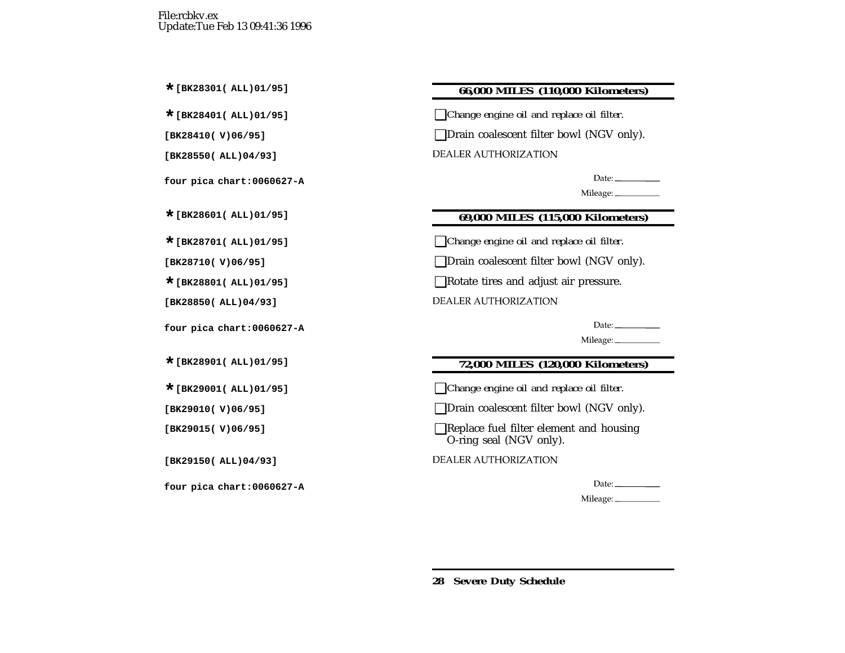## **\*[BK28301( ALL)01/95] 66,000 MILES (110,000 Kilometers)**

**\*[BK28401( ALL)01/95]** ❑*Change engine oil and replace oil filter.*

**[BK28410( V)06/95]** ❑Drain coalescent filter bowl (NGV only).

**DEALER AUTHORIZATION** 

## **\*[BK28601( ALL)01/95] 69,000 MILES (115,000 Kilometers)**

**\*[BK28701( ALL)01/95]** ❑*Change engine oil and replace oil filter.*

**[BK28710( V)06/95]** ❑Drain coalescent filter bowl (NGV only).

■Rotate tires and adjust air pressure.

DEALER AUTHORIZATION

Mileage: \_\_\_\_\_\_\_\_\_\_\_

## **\*[BK28901( ALL)01/95] 72,000 MILES (120,000 Kilometers)**

**\*[BK29001( ALL)01/95]** ❑*Change engine oil and replace oil filter.*

**[BK29010( V)06/95]** ❑Drain coalescent filter bowl (NGV only).

**[BK29015( V)06/95]** ❑Replace fuel filter element and housing O-ring seal (NGV only).

DEALER AUTHORIZATION

Date:  $\_\_$ 

Mileage: \_\_\_\_\_\_\_\_\_\_\_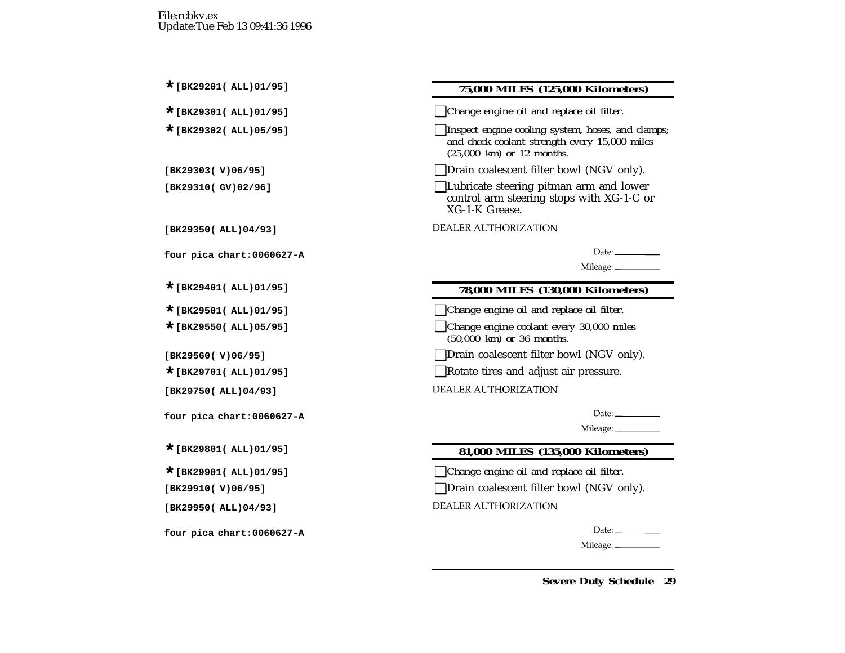#### **\*[BK29201( ALL)01/95] 75,000 MILES (125,000 Kilometers)**

**\*[BK29301( ALL)01/95]** ❑*Change engine oil and replace oil filter.*

**\*[BK29302( ALL)05/95]** ❑*Inspect engine cooling system, hoses, and clamps; and check coolant strength every 15,000 miles (25,000 km) or 12 months.*

**[BK29303( V)06/95]** ❑Drain coalescent filter bowl (NGV only).

**[BK29310( GV)02/96]** ❑Lubricate steering pitman arm and lower control arm steering stops with XG-1-C or XG-1-K Grease.

**DEALER AUTHORIZATION** 

Date:  $\frac{1}{\sqrt{1-\frac{1}{2}}\sqrt{1-\frac{1}{2}}\sqrt{1-\frac{1}{2}}\sqrt{1-\frac{1}{2}}\sqrt{1-\frac{1}{2}}\sqrt{1-\frac{1}{2}}\sqrt{1-\frac{1}{2}}\sqrt{1-\frac{1}{2}}\sqrt{1-\frac{1}{2}}\sqrt{1-\frac{1}{2}}\sqrt{1-\frac{1}{2}}\sqrt{1-\frac{1}{2}}\sqrt{1-\frac{1}{2}}\sqrt{1-\frac{1}{2}}\sqrt{1-\frac{1}{2}}\sqrt{1-\frac{1}{2}}\sqrt{1-\frac{1}{2}}\sqrt{1-\frac{1}{2}}\sqrt{1-\frac{1}{2}}$ 

Mileage: \_\_\_\_\_\_\_\_\_\_\_

#### **\*[BK29401( ALL)01/95] 78,000 MILES (130,000 Kilometers)**

**\*[BK29501( ALL)01/95]** ❑*Change engine oil and replace oil filter.*

**\*[BK29550( ALL)05/95]** ❑*Change engine coolant every 30,000 miles (50,000 km) or 36 months.*

**[BK29560( V)06/95]** ❑Drain coalescent filter bowl (NGV only).

**■Rotate tires and adjust air pressure.** 

**DEALER AUTHORIZATION** 

Date:  $\_\_$ 

Mileage: \_\_\_\_\_\_\_\_\_\_\_

## **\*[BK29801( ALL)01/95] 81,000 MILES (135,000 Kilometers)**

**\*[BK29901( ALL)01/95]** ❑*Change engine oil and replace oil filter.*

**□Drain coalescent filter bowl (NGV only).** 

**DEALER AUTHORIZATION** 

Date:  $\_\_$ 

Mileage: \_\_\_\_\_\_\_\_\_\_\_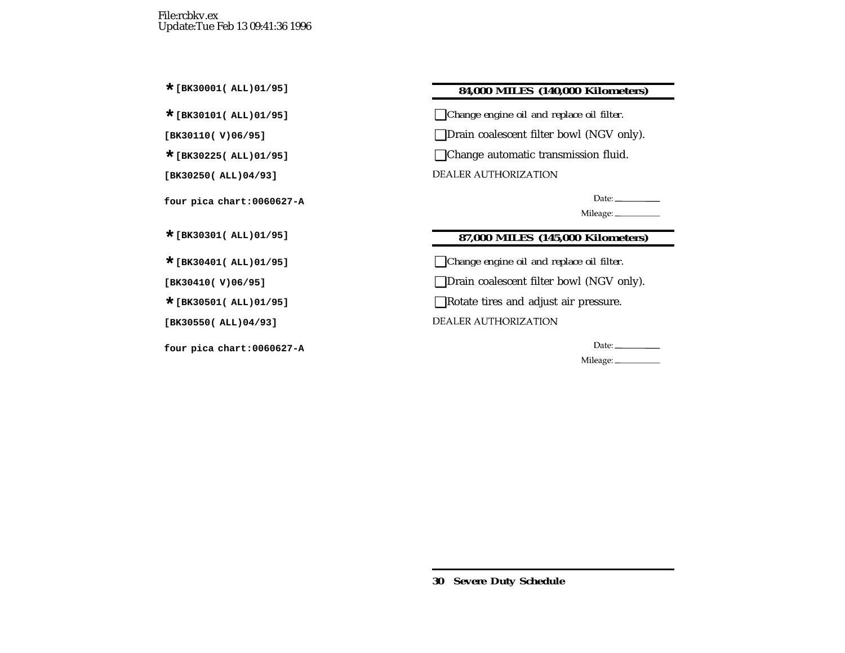## **\*[BK30001( ALL)01/95] 84,000 MILES (140,000 Kilometers)**

**\*[BK30101( ALL)01/95]** ❑*Change engine oil and replace oil filter.*

**[BK30110( V)06/95]** ❑Drain coalescent filter bowl (NGV only).

**\*[BK30225( ALL)01/95]** ❑Change automatic transmission fluid.

DEALER AUTHORIZATION

Date:  $\qquad \qquad$ 

Mileage:

## **\*[BK30301( ALL)01/95] 87,000 MILES (145,000 Kilometers)**

**\*[BK30401( ALL)01/95]** ❑*Change engine oil and replace oil filter.*

**[BK30410( V)06/95]** ❑Drain coalescent filter bowl (NGV only).

**\*[BK30501( ALL)01/95]** ❑Rotate tires and adjust air pressure.

**DEALER AUTHORIZATION** 

Date:  $\_\_$ 

Mileage: \_\_\_\_\_\_\_\_\_\_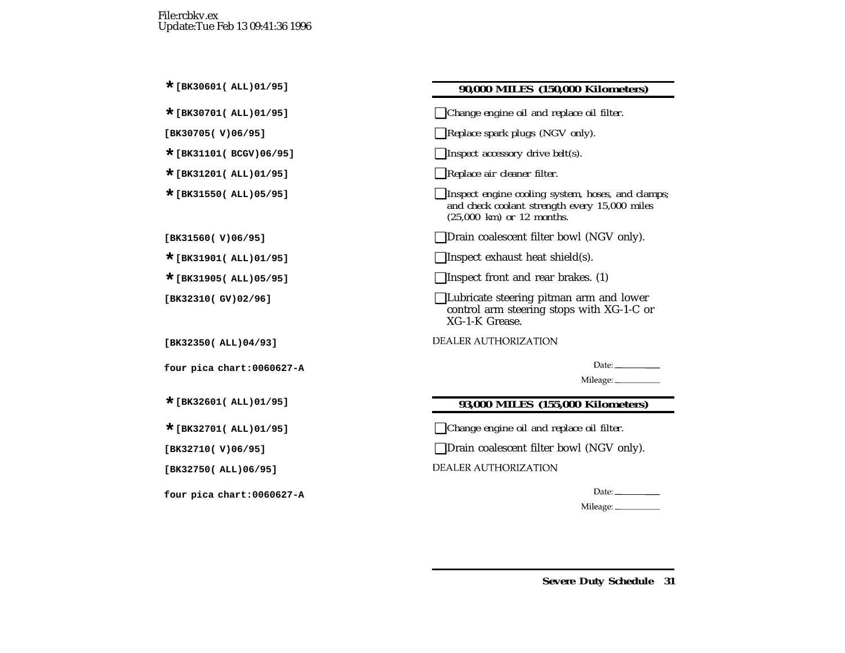| 90,000 MILES (150,000 Kilometers) |  |
|-----------------------------------|--|

**\*[BK30701( ALL)01/95]** ❑*Change engine oil and replace oil filter.*

- **[BK30705( V)06/95]** ❑*Replace spark plugs (NGV only).*
- $\Box$  *Inspect accessory drive belt(s).*
- **\*[BK31201( ALL)01/95]** ❑*Replace air cleaner filter.*
- **\*[BK31550( ALL)05/95]** ❑*Inspect engine cooling system, hoses, and clamps; and check coolant strength every 15,000 miles (25,000 km) or 12 months.*
- **[BK31560( V)06/95]** ❑Drain coalescent filter bowl (NGV only).
- ■Inspect exhaust heat shield(s).
- **\*[BK31905( ALL)05/95]** ❑Inspect front and rear brakes. (1)
- **[BK32310( GV)02/96]** ❑Lubricate steering pitman arm and lower control arm steering stops with XG-1-C or XG-1-K Grease.

**DEALER AUTHORIZATION** 

Date:  $\_\_$ 

Mileage: \_\_\_\_\_\_\_\_\_\_

#### **\*[BK32601( ALL)01/95] 93,000 MILES (155,000 Kilometers)**

**\*[BK32701( ALL)01/95]** ❑*Change engine oil and replace oil filter.*

**[BK32710( V)06/95]** ❑Drain coalescent filter bowl (NGV only).

**DEALER AUTHORIZATION** 

Date:  $\qquad \qquad$ 

Mileage: \_\_\_\_\_\_\_\_\_\_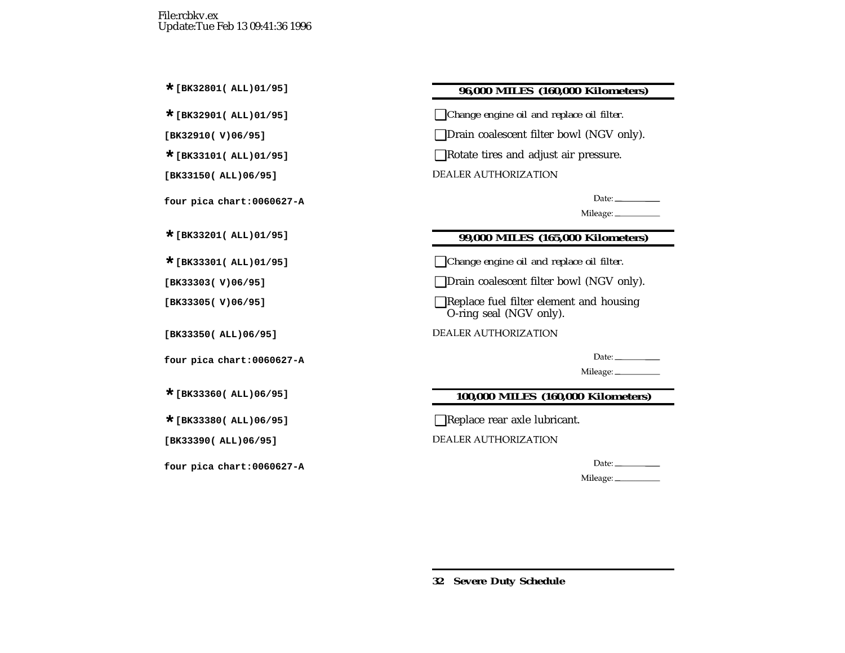## **\*[BK32801( ALL)01/95] 96,000 MILES (160,000 Kilometers)**

**\*[BK32901( ALL)01/95]** ❑*Change engine oil and replace oil filter.*

**[BK32910( V)06/95]** ❑Drain coalescent filter bowl (NGV only).

**\*[BK33101( ALL)01/95]** ❑Rotate tires and adjust air pressure.

DEALER AUTHORIZATION

Date:  $\frac{1}{\sqrt{1-\frac{1}{2}}\sqrt{1-\frac{1}{2}}\sqrt{1-\frac{1}{2}}\sqrt{1-\frac{1}{2}}\sqrt{1-\frac{1}{2}}\sqrt{1-\frac{1}{2}}\sqrt{1-\frac{1}{2}}\sqrt{1-\frac{1}{2}}\sqrt{1-\frac{1}{2}}\sqrt{1-\frac{1}{2}}\sqrt{1-\frac{1}{2}}\sqrt{1-\frac{1}{2}}\sqrt{1-\frac{1}{2}}\sqrt{1-\frac{1}{2}}\sqrt{1-\frac{1}{2}}\sqrt{1-\frac{1}{2}}\sqrt{1-\frac{1}{2}}\sqrt{1-\frac{1}{2}}\sqrt{1-\frac{1}{2}}$ 

Mileage: \_\_\_\_\_\_\_\_\_\_

## **\*[BK33201( ALL)01/95] 99,000 MILES (165,000 Kilometers)**

**\*[BK33301( ALL)01/95]** ❑*Change engine oil and replace oil filter.*

**[BK33303( V)06/95]** ❑Drain coalescent filter bowl (NGV only).

**[BK33305( V)06/95]** ❑Replace fuel filter element and housing O-ring seal (NGV only).

**DEALER AUTHORIZATION** 

Date:  $\qquad \qquad$ 

Mileage: \_\_\_\_\_\_\_\_\_

## **\*[BK33360( ALL)06/95] 100,000 MILES (160,000 Kilometers)**

**\*[BK33380( ALL)06/95]** ❑Replace rear axle lubricant.

**DEALER AUTHORIZATION** 

Date:  $\_\_$ 

Mileage: \_\_\_\_\_\_\_\_\_\_\_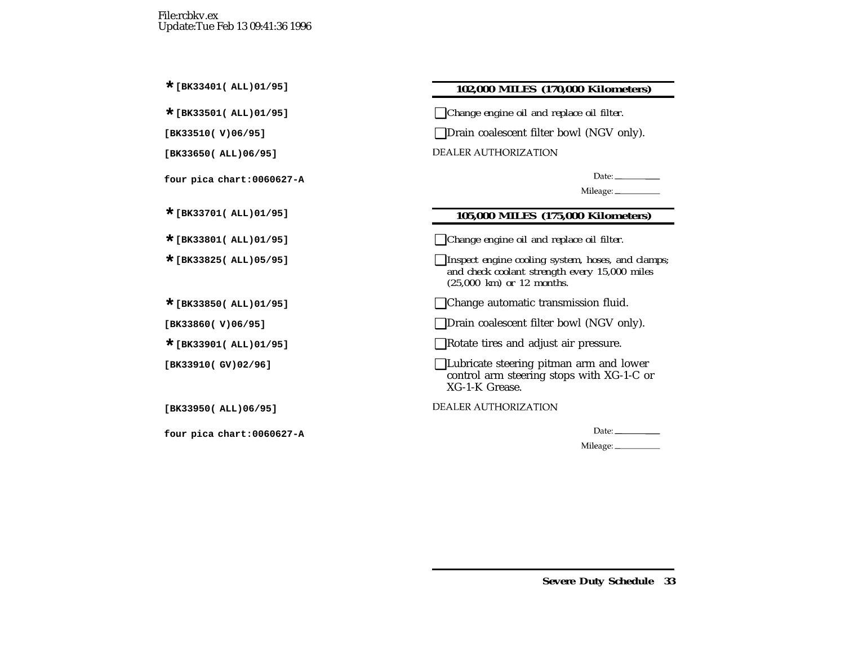## **\*[BK33401( ALL)01/95] 102,000 MILES (170,000 Kilometers)**

**\*[BK33501( ALL)01/95]** ❑*Change engine oil and replace oil filter.*

**[BK33510( V)06/95]** ❑Drain coalescent filter bowl (NGV only).

**DEALER AUTHORIZATION** 

Date:  $\_\_$ 

Mileage: \_\_\_\_\_\_\_\_\_\_\_

## **\*[BK33701( ALL)01/95] 105,000 MILES (175,000 Kilometers)**

**\*[BK33801( ALL)01/95]** ❑*Change engine oil and replace oil filter.*

**\*[BK33825( ALL)05/95]** ❑*Inspect engine cooling system, hoses, and clamps; and check coolant strength every 15,000 miles (25,000 km) or 12 months.*

**\*[BK33850( ALL)01/95]** ❑Change automatic transmission fluid.

**[BK33860( V)06/95]** ❑Drain coalescent filter bowl (NGV only).

**\*[BK33901( ALL)01/95]** ❑Rotate tires and adjust air pressure.

**[BK33910( GV)02/96]** ❑Lubricate steering pitman arm and lower control arm steering stops with XG-1-C or XG-1-K Grease.

**DEALER AUTHORIZATION** 

Date:\_\_\_\_\_\_\_\_\_\_\_\_

Mileage: \_\_\_\_\_\_\_\_\_\_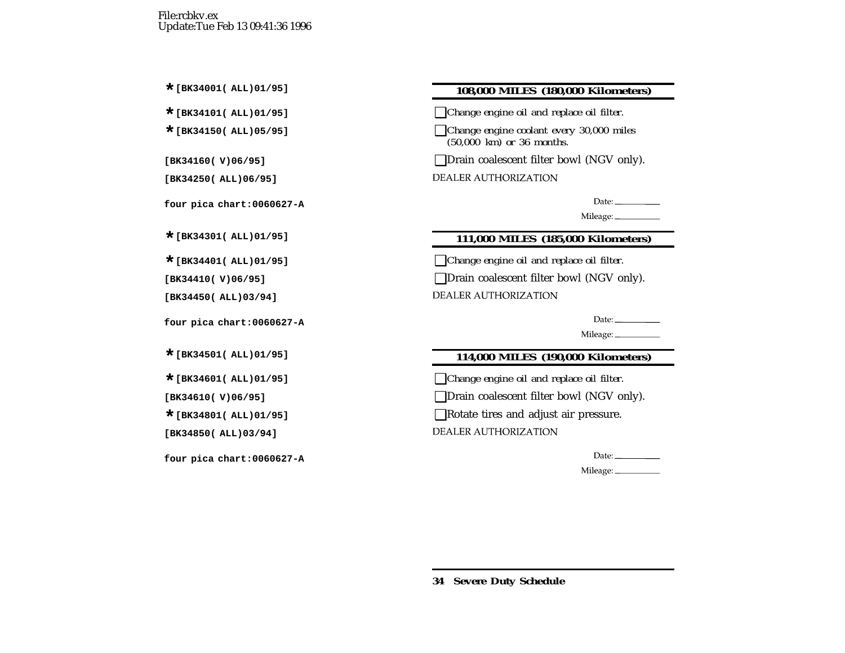## **\*[BK34001( ALL)01/95] 108,000 MILES (180,000 Kilometers)**

**\*[BK34101( ALL)01/95]** ❑*Change engine oil and replace oil filter.*

**\*[BK34150( ALL)05/95]** ❑*Change engine coolant every 30,000 miles (50,000 km) or 36 months.*

**[BK34160( V)06/95]** ❑Drain coalescent filter bowl (NGV only).

DEALER AUTHORIZATION

Date:  $\_\_$ 

Mileage:

## **\*[BK34301( ALL)01/95] 111,000 MILES (185,000 Kilometers)**

**\*[BK34401( ALL)01/95]** ❑*Change engine oil and replace oil filter.*

**[BK34410( V)06/95]** ❑Drain coalescent filter bowl (NGV only).

**DEALER AUTHORIZATION** 

Date:  $\_\_$ 

Mileage:

## **\*[BK34501( ALL)01/95] 114,000 MILES (190,000 Kilometers)**

**\*[BK34601( ALL)01/95]** ❑*Change engine oil and replace oil filter.*

**[BK34610( V)06/95]** ❑Drain coalescent filter bowl (NGV only).

**Example 12** Rotate tires and adjust air pressure.

DEALER AUTHORIZATION

Date:

Mileage: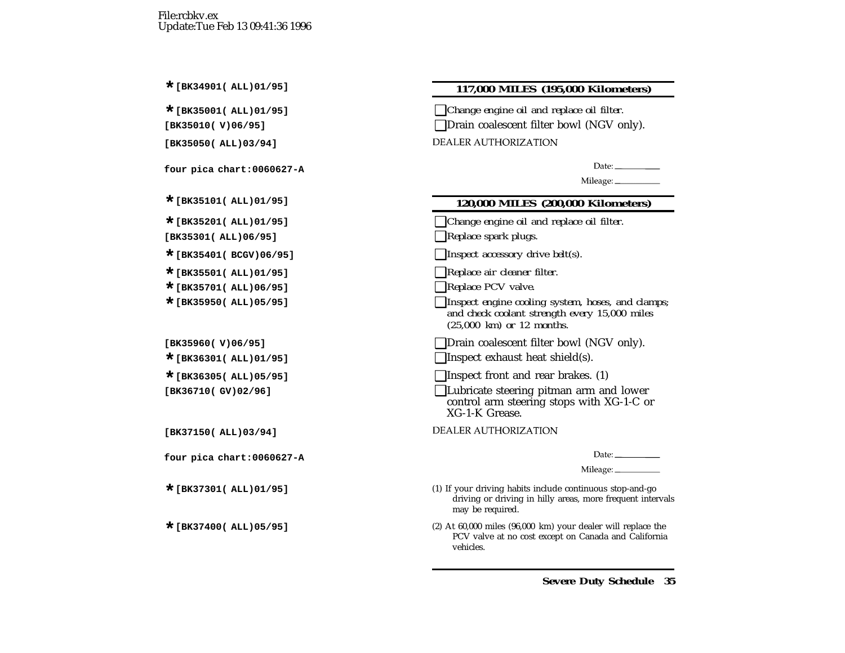#### **\*[BK34901( ALL)01/95] 117,000 MILES (195,000 Kilometers)**

**\*[BK35001( ALL)01/95]** ❑*Change engine oil and replace oil filter.*

**□Drain coalescent filter bowl (NGV only).** 

DEALER AUTHORIZATION

 $Date:$ 

Mileage: \_\_\_\_\_\_\_\_\_\_\_\_

#### **\*[BK35101( ALL)01/95] 120,000 MILES (200,000 Kilometers)**

- **\*[BK35201( ALL)01/95]** ❑*Change engine oil and replace oil filter.*
- **[BK35301( ALL)06/95]** ❑*Replace spark plugs.*
- **\*[BK35401( BCGV)06/95]** ❑*Inspect accessory drive belt(s).*
- **\*[BK35501( ALL)01/95]** ❑*Replace air cleaner filter.*
- **\*[BK35701( ALL)06/95]** ❑*Replace PCV valve.*
- **\*[BK35950( ALL)05/95]** ❑*Inspect engine cooling system, hoses, and clamps; and check coolant strength every 15,000 miles (25,000 km) or 12 months.*
- **[BK35960( V)06/95]** ❑Drain coalescent filter bowl (NGV only).
- **\*[BK36301( ALL)01/95]** ❑Inspect exhaust heat shield(s).
- **\*[BK36305( ALL)05/95]** ❑Inspect front and rear brakes. (1)
- **[BK36710( GV)02/96]** ❑Lubricate steering pitman arm and lower control arm steering stops with XG-1-C or XG-1-K Grease.
- **DEALER AUTHORIZATION**

Date:  $\frac{1}{\sqrt{1-\frac{1}{2}}\cdot\frac{1}{2}}$ 

Mileage: \_\_\_\_\_\_\_\_\_\_

- (1) If your driving habits include continuous stop-and-go driving or driving in hilly areas, more frequent intervals may be required.
- (2) At 60,000 miles (96,000 km) your dealer will replace the PCV valve at no cost excep<sup>t</sup> on Canada and California vehicles.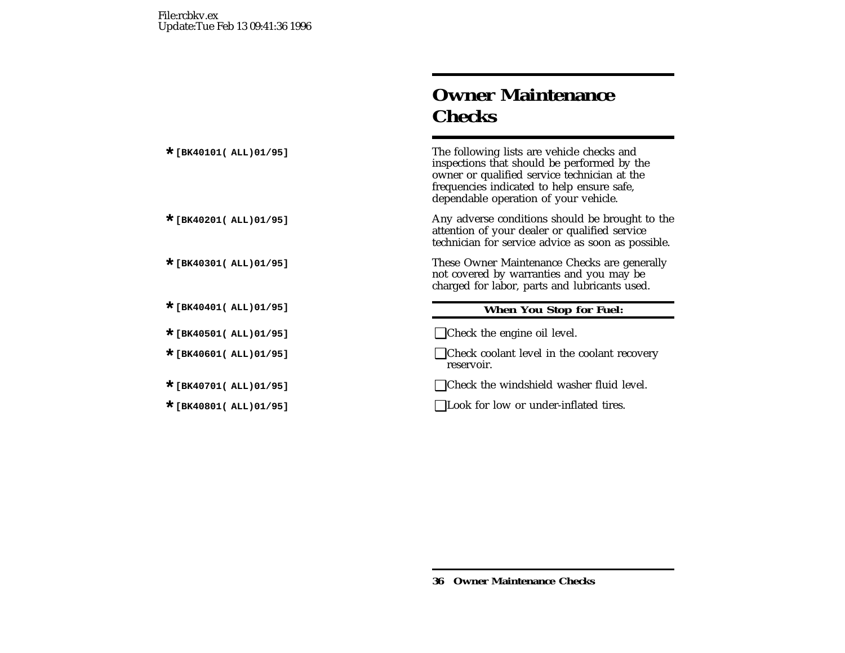# **Owner MaintenanceChecks**

The following lists are vehicle checks and inspections that should be performed by the owner or qualified service technician at the frequencies indicated to help ensure safe, dependable operation of your vehicle.

Any adverse conditions should be brought to the attention of your dealer or qualified service technician for service advice as soon as possible.

**These Owner Maintenance Checks are generally** not covered by warranties and you may be charged for labor, parts and lubricants used.

## **\*[BK40401( ALL)01/95] When You Stop for Fuel:**

**\*[BK40501( ALL)01/95]** ❑Check the engine oil level.

- Check coolant level in the coolant recovery reservoir.
- Check the windshield washer fluid level.
- **\*[BK40801( ALL)01/95]** ❑Look for low or under-inflated tires.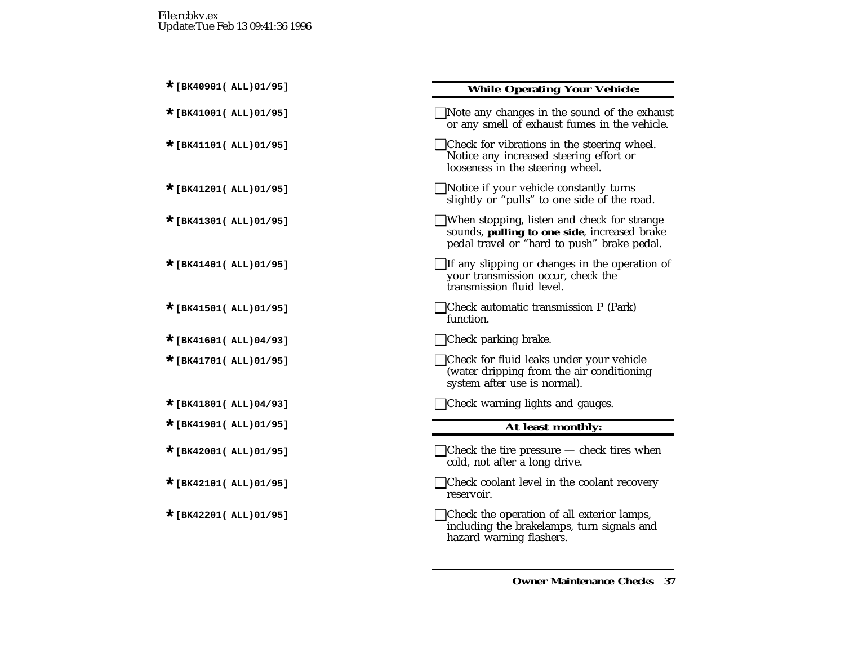## **\*[BK40901( ALL)01/95] While Operating Your Vehicle:**

| $\Box$ Note any changes in the sound of the exhaust<br>or any smell of exhaust fumes in the vehicle.                                              |
|---------------------------------------------------------------------------------------------------------------------------------------------------|
| $\Box$ Check for vibrations in the steering wheel.<br>Notice any increased steering effort or<br>looseness in the steering wheel.                 |
| $\Box$ Notice if your vehicle constantly turns<br>slightly or "pulls" to one side of the road.                                                    |
| $\Box$ When stopping, listen and check for strange<br>sounds, pulling to one side, increased brake<br>pedal travel or "hard to push" brake pedal. |
| $\Box$ If any slipping or changes in the operation of<br>your transmission occur, check the<br>transmission fluid level.                          |
| $\Box$ Check automatic transmission P (Park)<br>function.                                                                                         |
| $\Box$ Check parking brake.                                                                                                                       |
| □ Check for fluid leaks under your vehicle<br>(water dripping from the air conditioning                                                           |
| system after use is normal).                                                                                                                      |
| $\Box$ Check warning lights and gauges.                                                                                                           |
| At least monthly:                                                                                                                                 |
| $\Box$ Check the tire pressure $-$ check tires when<br>cold, not after a long drive.                                                              |
| $\Box$ Check coolant level in the coolant recovery<br>reservoir.                                                                                  |
| $\Box$ Check the operation of all exterior lamps,<br>including the brakelamps, turn signals and<br>hazard warning flashers.                       |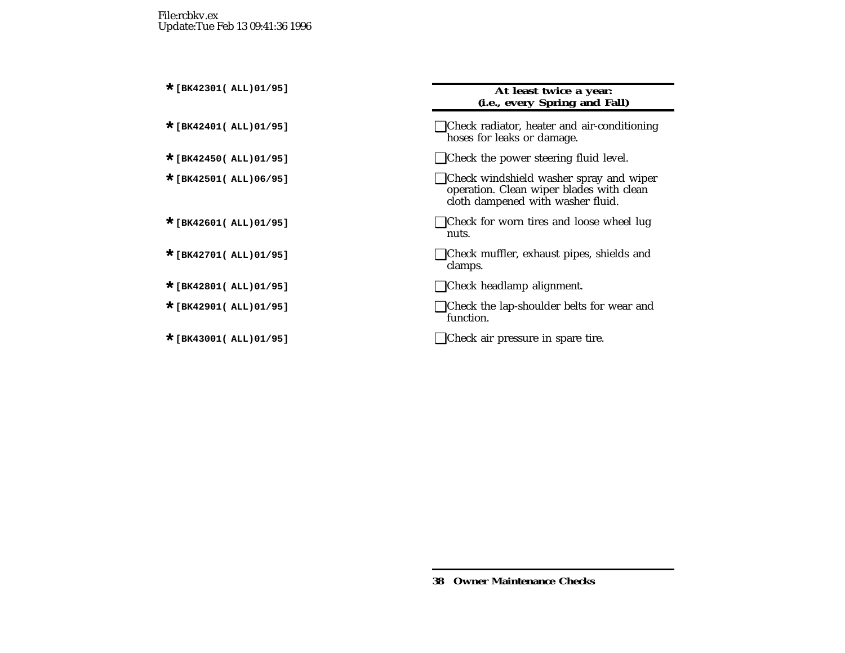#### **\*[BK42301( ALL)01/95] At least twice <sup>a</sup> year: (i.e., every Spring and Fall)**

- **\*[BK42401( ALL)01/95]** ❑Check radiator, heater and air-conditioning hoses for leaks or damage.
- Check the power steering fluid level.
- **\*[BK42501( ALL)06/95]** ❑Check windshield washer spray and wiper operation. Clean wiper blades with clean cloth dampened with washer fluid.
- Check for worn tires and loose wheel lug nuts.
- **\*[BK42701( ALL)01/95]** ❑Check muffler, exhaust pipes, shields and clamps.
- **\*[BK42801( ALL)01/95]** ❑Check headlamp alignment.
- Check the lap-shoulder belts for wear and function.
- **\*[BK43001( ALL)01/95]** ❑Check air pressure in spare tire.